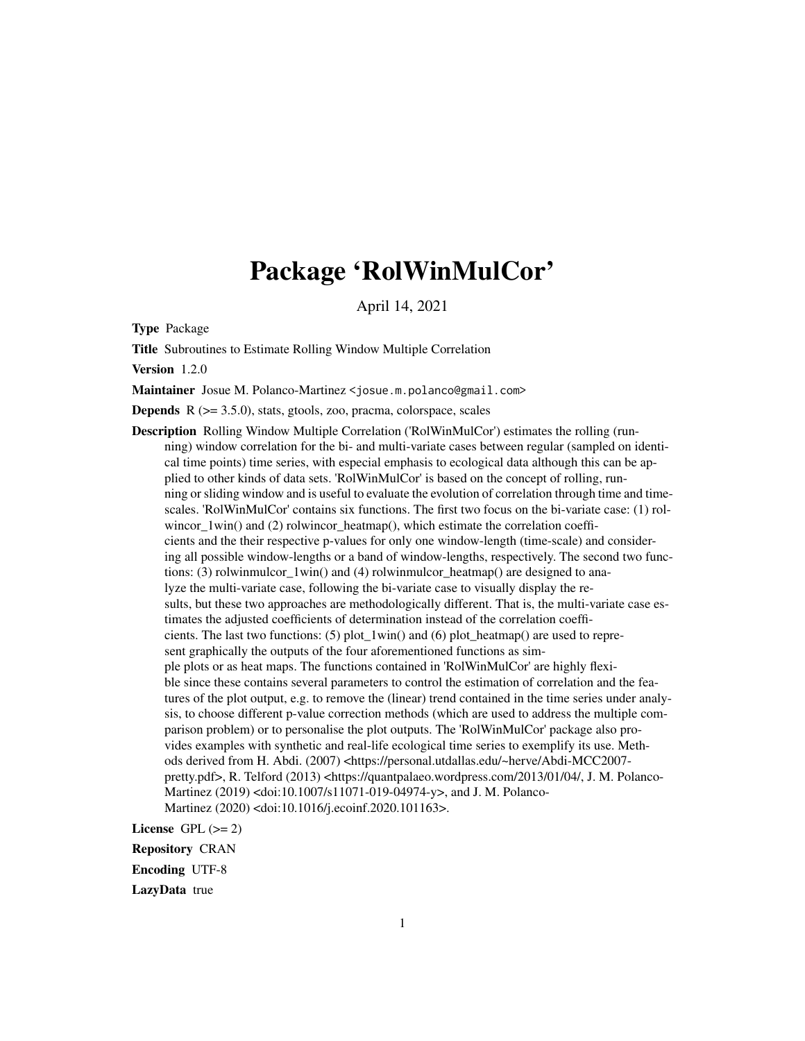# Package 'RolWinMulCor'

April 14, 2021

Type Package

Title Subroutines to Estimate Rolling Window Multiple Correlation

Version 1.2.0

Maintainer Josue M. Polanco-Martinez <josue.m.polanco@gmail.com>

**Depends**  $R$  ( $>= 3.5.0$ ), stats, gtools, zoo, pracma, colorspace, scales

Description Rolling Window Multiple Correlation ('RolWinMulCor') estimates the rolling (running) window correlation for the bi- and multi-variate cases between regular (sampled on identical time points) time series, with especial emphasis to ecological data although this can be applied to other kinds of data sets. 'RolWinMulCor' is based on the concept of rolling, running or sliding window and is useful to evaluate the evolution of correlation through time and timescales. 'RolWinMulCor' contains six functions. The first two focus on the bi-variate case: (1) rolwincor\_1win() and (2) rolwincor\_heatmap(), which estimate the correlation coefficients and the their respective p-values for only one window-length (time-scale) and considering all possible window-lengths or a band of window-lengths, respectively. The second two functions: (3) rolwinmulcor  $1win()$  and (4) rolwinmulcor heatmap() are designed to analyze the multi-variate case, following the bi-variate case to visually display the results, but these two approaches are methodologically different. That is, the multi-variate case estimates the adjusted coefficients of determination instead of the correlation coefficients. The last two functions: (5) plot\_1win() and (6) plot\_heatmap() are used to represent graphically the outputs of the four aforementioned functions as simple plots or as heat maps. The functions contained in 'RolWinMulCor' are highly flexible since these contains several parameters to control the estimation of correlation and the features of the plot output, e.g. to remove the (linear) trend contained in the time series under analysis, to choose different p-value correction methods (which are used to address the multiple comparison problem) or to personalise the plot outputs. The 'RolWinMulCor' package also provides examples with synthetic and real-life ecological time series to exemplify its use. Methods derived from H. Abdi. (2007) <https://personal.utdallas.edu/~herve/Abdi-MCC2007 pretty.pdf>, R. Telford (2013) <https://quantpalaeo.wordpress.com/2013/01/04/, J. M. Polanco-Martinez (2019) <doi:10.1007/s11071-019-04974-y>, and J. M. Polanco-Martinez (2020) <doi:10.1016/j.ecoinf.2020.101163>.

License GPL  $(>= 2)$ 

Repository CRAN

Encoding UTF-8

LazyData true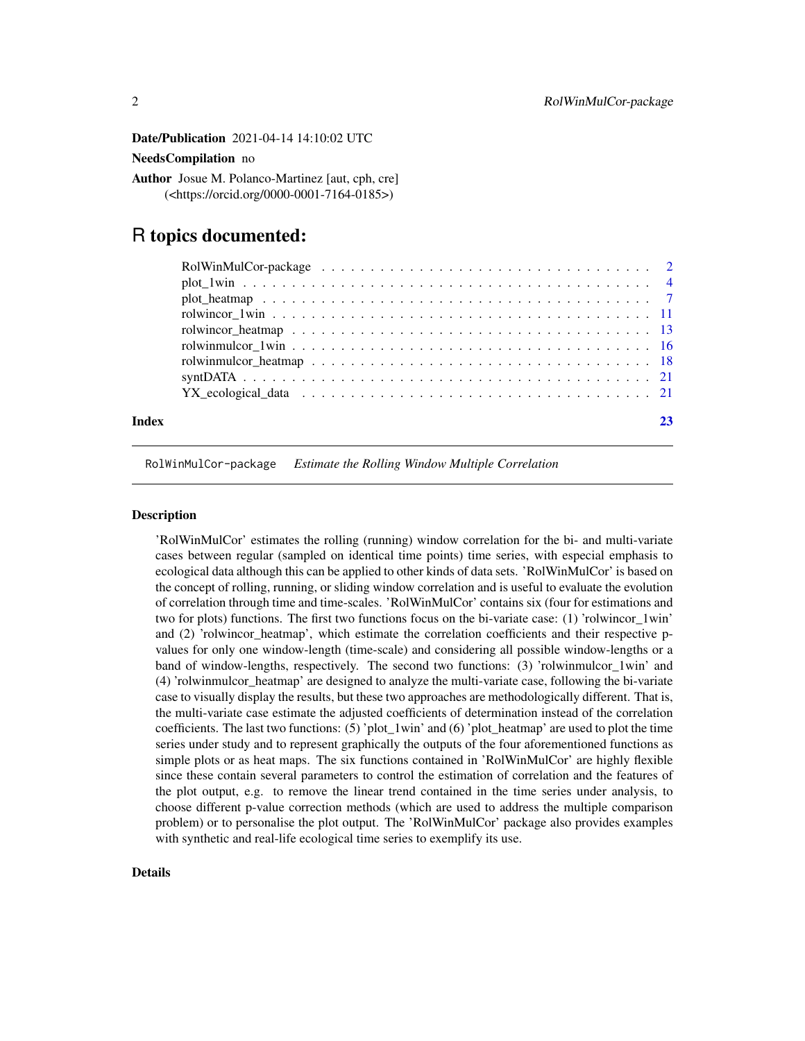<span id="page-1-0"></span>Date/Publication 2021-04-14 14:10:02 UTC

# NeedsCompilation no

Author Josue M. Polanco-Martinez [aut, cph, cre] (<https://orcid.org/0000-0001-7164-0185>)

# R topics documented:

|       | YX ecological data $\ldots \ldots \ldots \ldots \ldots \ldots \ldots \ldots \ldots \ldots \ldots \ldots$ |  |
|-------|----------------------------------------------------------------------------------------------------------|--|
|       |                                                                                                          |  |
| Index |                                                                                                          |  |
|       |                                                                                                          |  |

RolWinMulCor-package *Estimate the Rolling Window Multiple Correlation*

# **Description**

'RolWinMulCor' estimates the rolling (running) window correlation for the bi- and multi-variate cases between regular (sampled on identical time points) time series, with especial emphasis to ecological data although this can be applied to other kinds of data sets. 'RolWinMulCor' is based on the concept of rolling, running, or sliding window correlation and is useful to evaluate the evolution of correlation through time and time-scales. 'RolWinMulCor' contains six (four for estimations and two for plots) functions. The first two functions focus on the bi-variate case: (1) 'rolwincor\_1win' and (2) 'rolwincor\_heatmap', which estimate the correlation coefficients and their respective pvalues for only one window-length (time-scale) and considering all possible window-lengths or a band of window-lengths, respectively. The second two functions: (3) 'rolwinmulcor\_1win' and (4) 'rolwinmulcor\_heatmap' are designed to analyze the multi-variate case, following the bi-variate case to visually display the results, but these two approaches are methodologically different. That is, the multi-variate case estimate the adjusted coefficients of determination instead of the correlation coefficients. The last two functions:  $(5)'$  plot\_1win' and  $(6)'$  plot\_heatmap' are used to plot the time series under study and to represent graphically the outputs of the four aforementioned functions as simple plots or as heat maps. The six functions contained in 'RolWinMulCor' are highly flexible since these contain several parameters to control the estimation of correlation and the features of the plot output, e.g. to remove the linear trend contained in the time series under analysis, to choose different p-value correction methods (which are used to address the multiple comparison problem) or to personalise the plot output. The 'RolWinMulCor' package also provides examples with synthetic and real-life ecological time series to exemplify its use.

# Details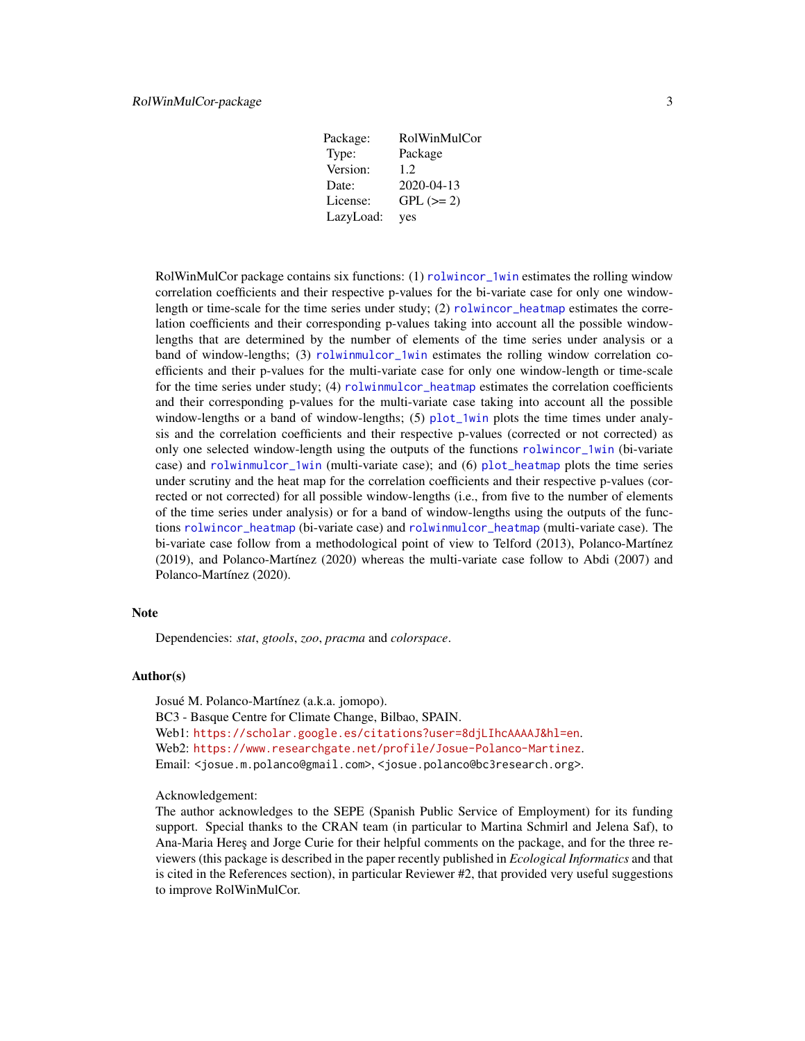| Package:  | RolWinMulCor     |
|-----------|------------------|
| Type:     | Package          |
| Version:  | 12               |
| Date:     | $2020 - 04 - 13$ |
| License:  | $GPL (=2)$       |
| LazyLoad: | yes              |

<span id="page-2-0"></span>RolWinMulCor package contains six functions: (1) [rolwincor\\_1win](#page-10-1) estimates the rolling window correlation coefficients and their respective p-values for the bi-variate case for only one windowlength or time-scale for the time series under study; (2) [rolwincor\\_heatmap](#page-12-1) estimates the correlation coefficients and their corresponding p-values taking into account all the possible windowlengths that are determined by the number of elements of the time series under analysis or a band of window-lengths; (3) [rolwinmulcor\\_1win](#page-15-1) estimates the rolling window correlation coefficients and their p-values for the multi-variate case for only one window-length or time-scale for the time series under study; (4) [rolwinmulcor\\_heatmap](#page-17-1) estimates the correlation coefficients and their corresponding p-values for the multi-variate case taking into account all the possible window-lengths or a band of window-lengths; (5) [plot\\_1win](#page-3-1) plots the time times under analysis and the correlation coefficients and their respective p-values (corrected or not corrected) as only one selected window-length using the outputs of the functions [rolwincor\\_1win](#page-10-1) (bi-variate case) and [rolwinmulcor\\_1win](#page-15-1) (multi-variate case); and (6) [plot\\_heatmap](#page-6-1) plots the time series under scrutiny and the heat map for the correlation coefficients and their respective p-values (corrected or not corrected) for all possible window-lengths (i.e., from five to the number of elements of the time series under analysis) or for a band of window-lengths using the outputs of the functions [rolwincor\\_heatmap](#page-12-1) (bi-variate case) and [rolwinmulcor\\_heatmap](#page-17-1) (multi-variate case). The bi-variate case follow from a methodological point of view to Telford (2013), Polanco-Martínez (2019), and Polanco-Martínez (2020) whereas the multi-variate case follow to Abdi (2007) and Polanco-Martínez (2020).

# **Note**

Dependencies: *stat*, *gtools*, *zoo*, *pracma* and *colorspace*.

#### Author(s)

Josué M. Polanco-Martínez (a.k.a. jomopo). BC3 - Basque Centre for Climate Change, Bilbao, SPAIN. Web1: <https://scholar.google.es/citations?user=8djLIhcAAAAJ&hl=en>. Web2: <https://www.researchgate.net/profile/Josue-Polanco-Martinez>. Email: <josue.m.polanco@gmail.com>, <josue.polanco@bc3research.org>.

Acknowledgement:

The author acknowledges to the SEPE (Spanish Public Service of Employment) for its funding support. Special thanks to the CRAN team (in particular to Martina Schmirl and Jelena Saf), to Ana-Maria Heres and Jorge Curie for their helpful comments on the package, and for the three reviewers (this package is described in the paper recently published in *Ecological Informatics* and that is cited in the References section), in particular Reviewer #2, that provided very useful suggestions to improve RolWinMulCor.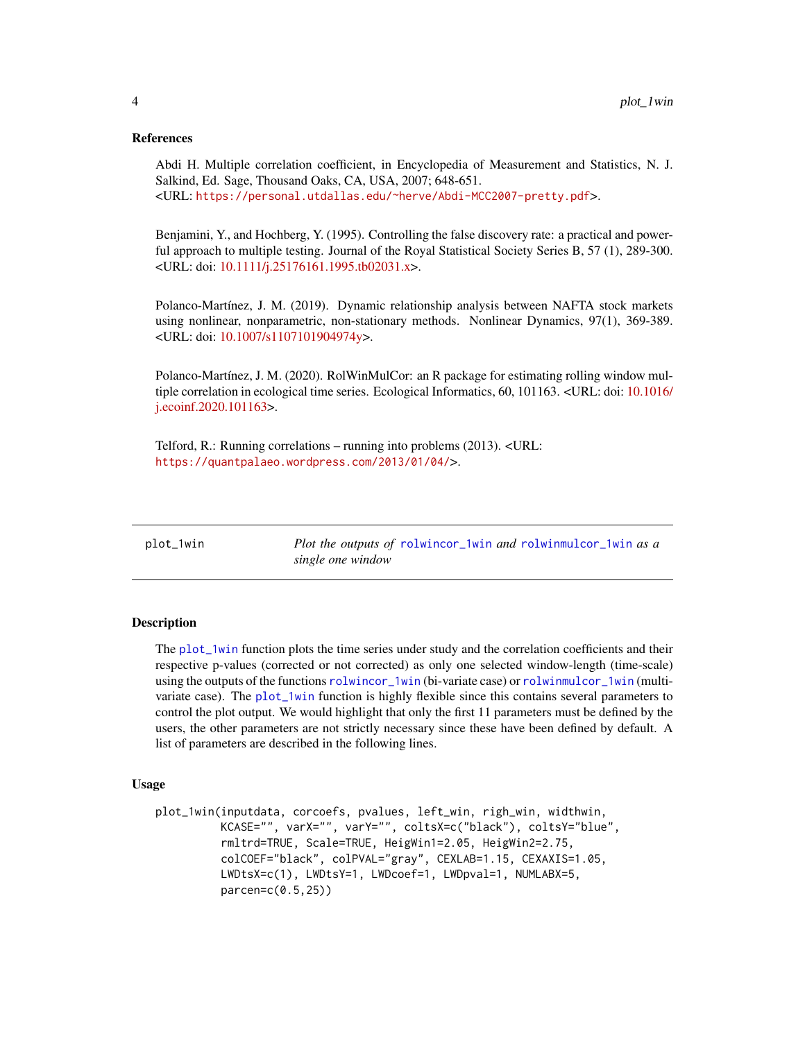# <span id="page-3-0"></span>References

Abdi H. Multiple correlation coefficient, in Encyclopedia of Measurement and Statistics, N. J. Salkind, Ed. Sage, Thousand Oaks, CA, USA, 2007; 648-651. <URL: <https://personal.utdallas.edu/~herve/Abdi-MCC2007-pretty.pdf>>.

Benjamini, Y., and Hochberg, Y. (1995). Controlling the false discovery rate: a practical and powerful approach to multiple testing. Journal of the Royal Statistical Society Series B, 57 (1), 289-300. <URL: doi: [10.1111/j.25176161.1995.tb02031.x>](https://doi.org/10.1111/j.2517-6161.1995.tb02031.x).

Polanco-Martínez, J. M. (2019). Dynamic relationship analysis between NAFTA stock markets using nonlinear, nonparametric, non-stationary methods. Nonlinear Dynamics, 97(1), 369-389. <URL: doi: [10.1007/s1107101904974y>](https://doi.org/10.1007/s11071-019-04974-y).

Polanco-Martínez, J. M. (2020). RolWinMulCor: an R package for estimating rolling window multiple correlation in ecological time series. Ecological Informatics, 60, 101163. <URL: doi: [10.1016/](https://doi.org/10.1016/j.ecoinf.2020.101163) [j.ecoinf.2020.101163>](https://doi.org/10.1016/j.ecoinf.2020.101163).

Telford, R.: Running correlations – running into problems (2013). <URL: <https://quantpalaeo.wordpress.com/2013/01/04/>>.

<span id="page-3-1"></span>plot\_1win *Plot the outputs of* [rolwincor\\_1win](#page-10-1) *and* [rolwinmulcor\\_1win](#page-15-1) *as a single one window*

# **Description**

The [plot\\_1win](#page-3-1) function plots the time series under study and the correlation coefficients and their respective p-values (corrected or not corrected) as only one selected window-length (time-scale) using the outputs of the functions [rolwincor\\_1win](#page-10-1) (bi-variate case) or [rolwinmulcor\\_1win](#page-15-1) (multivariate case). The [plot\\_1win](#page-3-1) function is highly flexible since this contains several parameters to control the plot output. We would highlight that only the first 11 parameters must be defined by the users, the other parameters are not strictly necessary since these have been defined by default. A list of parameters are described in the following lines.

# Usage

```
plot_1win(inputdata, corcoefs, pvalues, left_win, righ_win, widthwin,
         KCASE="", varX="", varY="", coltsX=c("black"), coltsY="blue",
         rmltrd=TRUE, Scale=TRUE, HeigWin1=2.05, HeigWin2=2.75,
         colCOEF="black", colPVAL="gray", CEXLAB=1.15, CEXAXIS=1.05,
         LWDtsX=c(1), LWDtsY=1, LWDcoef=1, LWDpval=1, NUMLABX=5,
         parcen=c(0.5,25))
```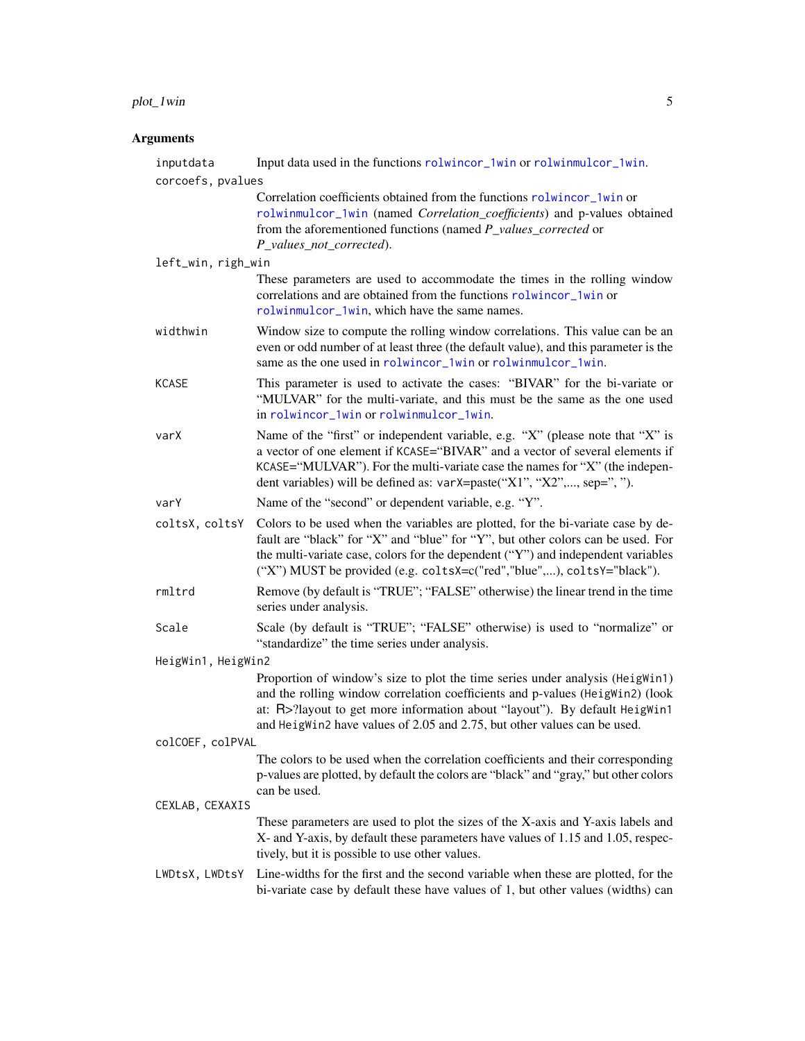# plot\_1win 5

| inputdata          | Input data used in the functions rolwincor_1win or rolwinmulcor_1win.                                                                                                                                                                                                                                                             |
|--------------------|-----------------------------------------------------------------------------------------------------------------------------------------------------------------------------------------------------------------------------------------------------------------------------------------------------------------------------------|
| corcoefs, pvalues  |                                                                                                                                                                                                                                                                                                                                   |
|                    | Correlation coefficients obtained from the functions rolwincor_1win or<br>rolwinmulcor_1win (named Correlation_coefficients) and p-values obtained<br>from the aforementioned functions (named P_values_corrected or<br>P_values_not_corrected).                                                                                  |
| left_win, righ_win |                                                                                                                                                                                                                                                                                                                                   |
|                    | These parameters are used to accommodate the times in the rolling window<br>correlations and are obtained from the functions rolwincor_1win or<br>rolwinmulcor_1win, which have the same names.                                                                                                                                   |
| widthwin           | Window size to compute the rolling window correlations. This value can be an<br>even or odd number of at least three (the default value), and this parameter is the<br>same as the one used in rolwincor_1win or rolwinmulcor_1win.                                                                                               |
| <b>KCASE</b>       | This parameter is used to activate the cases: "BIVAR" for the bi-variate or<br>"MULVAR" for the multi-variate, and this must be the same as the one used<br>in rolwincor_1win or rolwinmulcor_1win.                                                                                                                               |
| varX               | Name of the "first" or independent variable, e.g. "X" (please note that "X" is<br>a vector of one element if KCASE="BIVAR" and a vector of several elements if<br>KCASE="MULVAR"). For the multi-variate case the names for "X" (the indepen-<br>dent variables) will be defined as: varX=paste("X1", "X2",, sep=", ").           |
| varY               | Name of the "second" or dependent variable, e.g. "Y".                                                                                                                                                                                                                                                                             |
| coltsX, coltsY     | Colors to be used when the variables are plotted, for the bi-variate case by de-<br>fault are "black" for "X" and "blue" for "Y", but other colors can be used. For<br>the multi-variate case, colors for the dependent ("Y") and independent variables<br>("X") MUST be provided (e.g. coltsX=c("red","blue",), coltsY="black"). |
| rmltrd             | Remove (by default is "TRUE"; "FALSE" otherwise) the linear trend in the time<br>series under analysis.                                                                                                                                                                                                                           |
| Scale              | Scale (by default is "TRUE"; "FALSE" otherwise) is used to "normalize" or<br>"standardize" the time series under analysis.                                                                                                                                                                                                        |
| HeigWin1, HeigWin2 |                                                                                                                                                                                                                                                                                                                                   |
|                    | Proportion of window's size to plot the time series under analysis (HeigWin1)<br>and the rolling window correlation coefficients and p-values (HeigWin2) (look<br>at: R>?layout to get more information about "layout"). By default HeigWin1<br>and HeigWin2 have values of 2.05 and 2.75, but other values can be used.          |
| colCOEF, colPVAL   |                                                                                                                                                                                                                                                                                                                                   |
|                    | The colors to be used when the correlation coefficients and their corresponding<br>p-values are plotted, by default the colors are "black" and "gray," but other colors<br>can be used.                                                                                                                                           |
| CEXLAB, CEXAXIS    |                                                                                                                                                                                                                                                                                                                                   |
|                    | These parameters are used to plot the sizes of the X-axis and Y-axis labels and<br>X- and Y-axis, by default these parameters have values of 1.15 and 1.05, respec-<br>tively, but it is possible to use other values.                                                                                                            |
| LWDtsX, LWDtsY     | Line-widths for the first and the second variable when these are plotted, for the<br>bi-variate case by default these have values of 1, but other values (widths) can                                                                                                                                                             |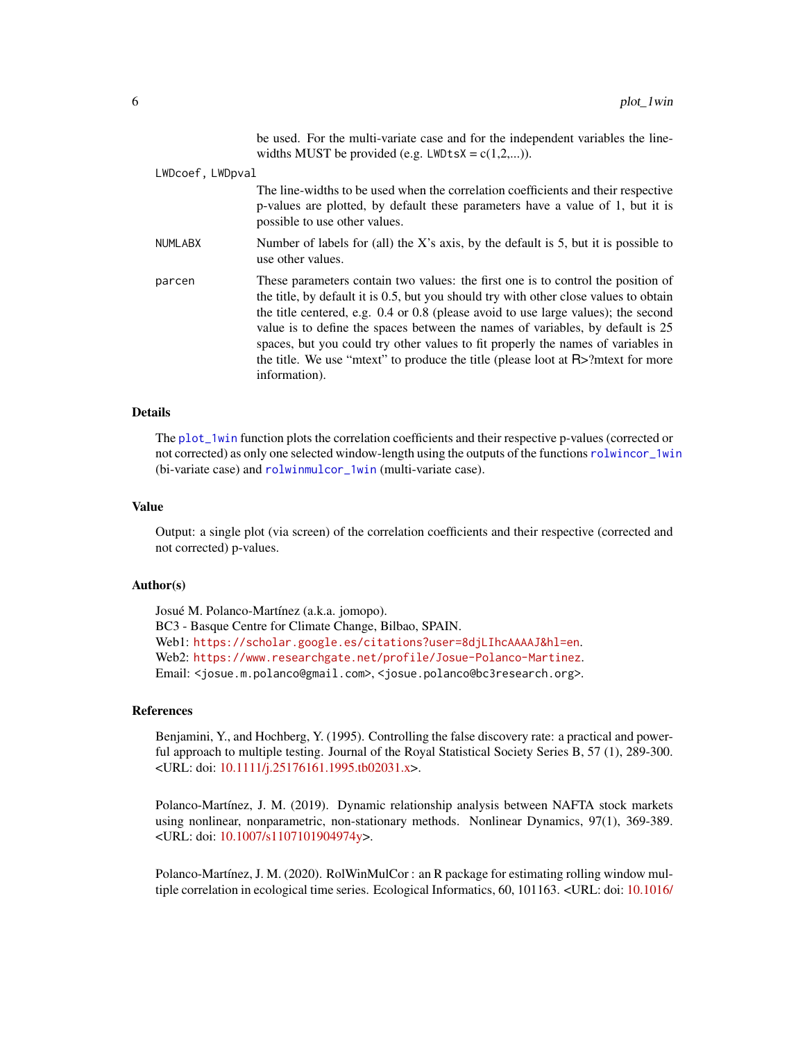be used. For the multi-variate case and for the independent variables the linewidths MUST be provided (e.g.  $LWDtsX = c(1,2,...)$ ).

<span id="page-5-0"></span>

| LWDcoef, LWDpval |                                                                                                                                                                                                                                                                                                                                                                                                                                                                                                                                               |
|------------------|-----------------------------------------------------------------------------------------------------------------------------------------------------------------------------------------------------------------------------------------------------------------------------------------------------------------------------------------------------------------------------------------------------------------------------------------------------------------------------------------------------------------------------------------------|
|                  | The line-widths to be used when the correlation coefficients and their respective<br>p-values are plotted, by default these parameters have a value of 1, but it is<br>possible to use other values.                                                                                                                                                                                                                                                                                                                                          |
| <b>NUMLABX</b>   | Number of labels for (all) the X's axis, by the default is 5, but it is possible to<br>use other values.                                                                                                                                                                                                                                                                                                                                                                                                                                      |
| parcen           | These parameters contain two values: the first one is to control the position of<br>the title, by default it is 0.5, but you should try with other close values to obtain<br>the title centered, e.g. 0.4 or 0.8 (please avoid to use large values); the second<br>value is to define the spaces between the names of variables, by default is 25<br>spaces, but you could try other values to fit properly the names of variables in<br>the title. We use "mtext" to produce the title (please loot at $R$ >?mtext for more<br>information). |

# Details

The [plot\\_1win](#page-3-1) function plots the correlation coefficients and their respective p-values (corrected or not corrected) as only one selected window-length using the outputs of the functions [rolwincor\\_1win](#page-10-1) (bi-variate case) and [rolwinmulcor\\_1win](#page-15-1) (multi-variate case).

# Value

Output: a single plot (via screen) of the correlation coefficients and their respective (corrected and not corrected) p-values.

# Author(s)

Josué M. Polanco-Martínez (a.k.a. jomopo). BC3 - Basque Centre for Climate Change, Bilbao, SPAIN. Web1: <https://scholar.google.es/citations?user=8djLIhcAAAAJ&hl=en>. Web2: <https://www.researchgate.net/profile/Josue-Polanco-Martinez>. Email: <josue.m.polanco@gmail.com>, <josue.polanco@bc3research.org>.

# References

Benjamini, Y., and Hochberg, Y. (1995). Controlling the false discovery rate: a practical and powerful approach to multiple testing. Journal of the Royal Statistical Society Series B, 57 (1), 289-300. <URL: doi: [10.1111/j.25176161.1995.tb02031.x>](https://doi.org/10.1111/j.2517-6161.1995.tb02031.x).

Polanco-Martínez, J. M. (2019). Dynamic relationship analysis between NAFTA stock markets using nonlinear, nonparametric, non-stationary methods. Nonlinear Dynamics, 97(1), 369-389. <URL: doi: [10.1007/s1107101904974y>](https://doi.org/10.1007/s11071-019-04974-y).

Polanco-Martínez, J. M. (2020). RolWinMulCor : an R package for estimating rolling window multiple correlation in ecological time series. Ecological Informatics, 60, 101163. <URL: doi: [10.1016/](https://doi.org/10.1016/j.ecoinf.2020.101163)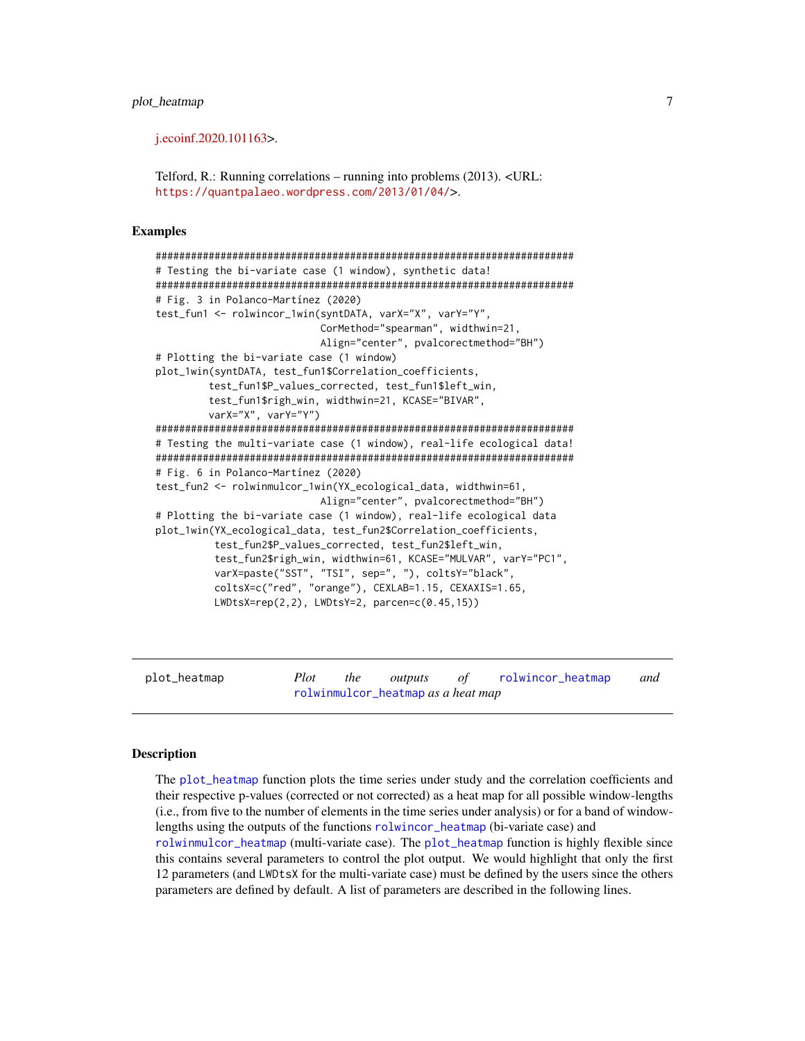# <span id="page-6-0"></span>[plot\\_heatmap](https://doi.org/10.1016/j.ecoinf.2020.101163) 7

[j.ecoinf.2020.101163>](https://doi.org/10.1016/j.ecoinf.2020.101163).

Telford, R.: Running correlations – running into problems (2013). <URL: <https://quantpalaeo.wordpress.com/2013/01/04/>>.

# Examples

```
#######################################################################
# Testing the bi-variate case (1 window), synthetic data!
#######################################################################
# Fig. 3 in Polanco-Martínez (2020)
test_fun1 <- rolwincor_1win(syntDATA, varX="X", varY="Y",
                            CorMethod="spearman", widthwin=21,
                            Align="center", pvalcorectmethod="BH")
# Plotting the bi-variate case (1 window)
plot_1win(syntDATA, test_fun1$Correlation_coefficients,
         test_fun1$P_values_corrected, test_fun1$left_win,
         test_fun1$righ_win, widthwin=21, KCASE="BIVAR",
         varX="X", varY="Y")
#######################################################################
# Testing the multi-variate case (1 window), real-life ecological data!
#######################################################################
# Fig. 6 in Polanco-Martínez (2020)
test_fun2 <- rolwinmulcor_1win(YX_ecological_data, widthwin=61,
                            Align="center", pvalcorectmethod="BH")
# Plotting the bi-variate case (1 window), real-life ecological data
plot_1win(YX_ecological_data, test_fun2$Correlation_coefficients,
          test_fun2$P_values_corrected, test_fun2$left_win,
          test_fun2$righ_win, widthwin=61, KCASE="MULVAR", varY="PC1",
          varX=paste("SST", "TSI", sep=", "), coltsY="black",
          coltsX=c("red", "orange"), CEXLAB=1.15, CEXAXIS=1.65,
          LWDtsX=rep(2,2), LWDtsY=2, parcen=c(0.45,15))
```
<span id="page-6-1"></span>plot\_heatmap *Plot the outputs of* [rolwincor\\_heatmap](#page-12-1) *and* [rolwinmulcor\\_heatmap](#page-17-1) *as a heat map*

### **Description**

The [plot\\_heatmap](#page-6-1) function plots the time series under study and the correlation coefficients and their respective p-values (corrected or not corrected) as a heat map for all possible window-lengths (i.e., from five to the number of elements in the time series under analysis) or for a band of windowlengths using the outputs of the functions [rolwincor\\_heatmap](#page-12-1) (bi-variate case) and [rolwinmulcor\\_heatmap](#page-17-1) (multi-variate case). The [plot\\_heatmap](#page-6-1) function is highly flexible since this contains several parameters to control the plot output. We would highlight that only the first 12 parameters (and LWDtsX for the multi-variate case) must be defined by the users since the others parameters are defined by default. A list of parameters are described in the following lines.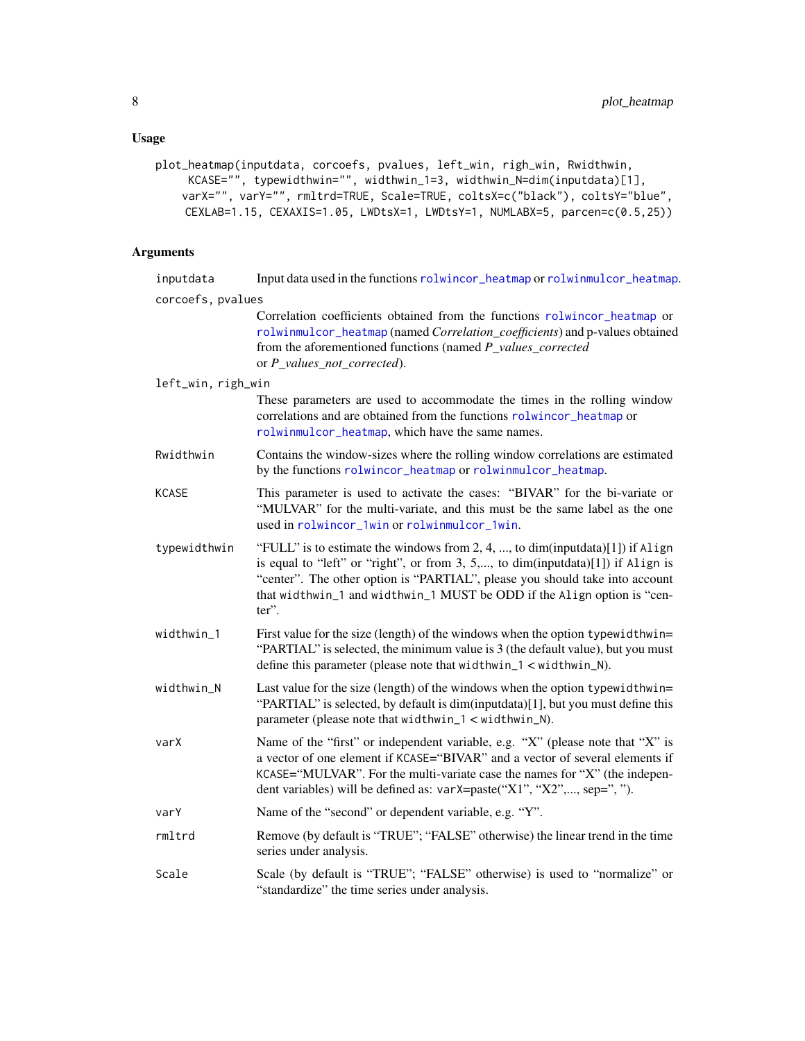# <span id="page-7-0"></span>Usage

```
plot_heatmap(inputdata, corcoefs, pvalues, left_win, righ_win, Rwidthwin,
     KCASE="", typewidthwin="", widthwin_1=3, widthwin_N=dim(inputdata)[1],
    varX="", varY="", rmltrd=TRUE, Scale=TRUE, coltsX=c("black"), coltsY="blue",
    CEXLAB=1.15, CEXAXIS=1.05, LWDtsX=1, LWDtsY=1, NUMLABX=5, parcen=c(0.5,25))
```

| inputdata          | Input data used in the functions rolwincor_heatmap or rolwinmulcor_heatmap.                                                                                                                                                                                                                                                             |  |
|--------------------|-----------------------------------------------------------------------------------------------------------------------------------------------------------------------------------------------------------------------------------------------------------------------------------------------------------------------------------------|--|
| corcoefs, pvalues  |                                                                                                                                                                                                                                                                                                                                         |  |
|                    | Correlation coefficients obtained from the functions rolwincor_heatmap or<br>rolwinmulcor_heatmap (named Correlation_coefficients) and p-values obtained<br>from the aforementioned functions (named P_values_corrected<br>or P_values_not_corrected).                                                                                  |  |
| left_win, righ_win |                                                                                                                                                                                                                                                                                                                                         |  |
|                    | These parameters are used to accommodate the times in the rolling window<br>correlations and are obtained from the functions rolwincor_heatmap or<br>rolwinmulcor_heatmap, which have the same names.                                                                                                                                   |  |
| Rwidthwin          | Contains the window-sizes where the rolling window correlations are estimated<br>by the functions rolwincor_heatmap or rolwinmulcor_heatmap.                                                                                                                                                                                            |  |
| <b>KCASE</b>       | This parameter is used to activate the cases: "BIVAR" for the bi-variate or<br>"MULVAR" for the multi-variate, and this must be the same label as the one<br>used in rolwincor_1win or rolwinmulcor_1win.                                                                                                                               |  |
| typewidthwin       | "FULL" is to estimate the windows from 2, 4, , to dim(inputdata)[1]) if Align<br>is equal to "left" or "right", or from 3, 5,, to dim(inputdata)[1]) if Align is<br>"center". The other option is "PARTIAL", please you should take into account<br>that widthwin_1 and widthwin_1 MUST be ODD if the Align option is "cen-<br>$ter$ ". |  |
| widthwin_1         | First value for the size (length) of the windows when the option typewidthwin=<br>"PARTIAL" is selected, the minimum value is 3 (the default value), but you must<br>define this parameter (please note that widthwin $_1$ < widthwin $_N$ ).                                                                                           |  |
| widthwin_N         | Last value for the size (length) of the windows when the option typewidthwin=<br>"PARTIAL" is selected, by default is dim(inputdata)[1], but you must define this<br>parameter (please note that widthwin_1 < widthwin_N).                                                                                                              |  |
| varX               | Name of the "first" or independent variable, e.g. "X" (please note that "X" is<br>a vector of one element if KCASE="BIVAR" and a vector of several elements if<br>KCASE="MULVAR". For the multi-variate case the names for "X" (the indepen-<br>dent variables) will be defined as: varX=paste("X1", "X2",, sep=", ").                  |  |
| varY               | Name of the "second" or dependent variable, e.g. "Y".                                                                                                                                                                                                                                                                                   |  |
| rmltrd             | Remove (by default is "TRUE"; "FALSE" otherwise) the linear trend in the time<br>series under analysis.                                                                                                                                                                                                                                 |  |
| Scale              | Scale (by default is "TRUE"; "FALSE" otherwise) is used to "normalize" or<br>"standardize" the time series under analysis.                                                                                                                                                                                                              |  |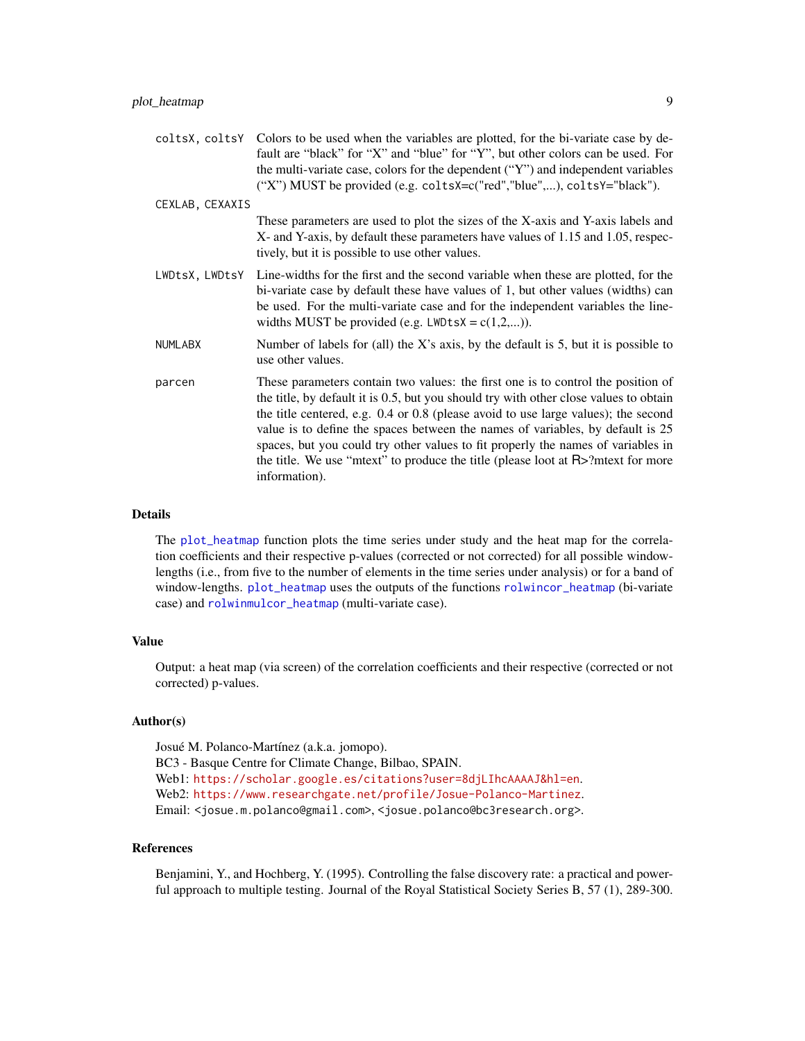<span id="page-8-0"></span>coltsX, coltsY Colors to be used when the variables are plotted, for the bi-variate case by default are "black" for "X" and "blue" for "Y", but other colors can be used. For the multi-variate case, colors for the dependent ("Y") and independent variables ("X") MUST be provided (e.g. coltsX=c("red","blue",...), coltsY="black").

CEXLAB, CEXAXIS These parameters are used to plot the sizes of the X-axis and Y-axis labels and X- and Y-axis, by default these parameters have values of 1.15 and 1.05, respectively, but it is possible to use other values.

- LWDtsX, LWDtsY Line-widths for the first and the second variable when these are plotted, for the bi-variate case by default these have values of 1, but other values (widths) can be used. For the multi-variate case and for the independent variables the linewidths MUST be provided (e.g.  $LWDtsX = c(1,2,...)$ ).
- NUMLABX Number of labels for (all) the X's axis, by the default is 5, but it is possible to use other values.
- parcen These parameters contain two values: the first one is to control the position of the title, by default it is 0.5, but you should try with other close values to obtain the title centered, e.g. 0.4 or 0.8 (please avoid to use large values); the second value is to define the spaces between the names of variables, by default is 25 spaces, but you could try other values to fit properly the names of variables in the title. We use "mtext" to produce the title (please loot at R>?mtext for more information).

# Details

The [plot\\_heatmap](#page-6-1) function plots the time series under study and the heat map for the correlation coefficients and their respective p-values (corrected or not corrected) for all possible windowlengths (i.e., from five to the number of elements in the time series under analysis) or for a band of window-lengths. [plot\\_heatmap](#page-6-1) uses the outputs of the functions [rolwincor\\_heatmap](#page-12-1) (bi-variate case) and [rolwinmulcor\\_heatmap](#page-17-1) (multi-variate case).

# Value

Output: a heat map (via screen) of the correlation coefficients and their respective (corrected or not corrected) p-values.

# Author(s)

Josué M. Polanco-Martínez (a.k.a. jomopo). BC3 - Basque Centre for Climate Change, Bilbao, SPAIN. Web1: <https://scholar.google.es/citations?user=8djLIhcAAAAJ&hl=en>. Web2: <https://www.researchgate.net/profile/Josue-Polanco-Martinez>. Email: <josue.m.polanco@gmail.com>, <josue.polanco@bc3research.org>.

# References

Benjamini, Y., and Hochberg, Y. (1995). Controlling the false discovery rate: a practical and powerful approach to multiple testing. Journal of the Royal Statistical Society Series B, 57 (1), 289-300.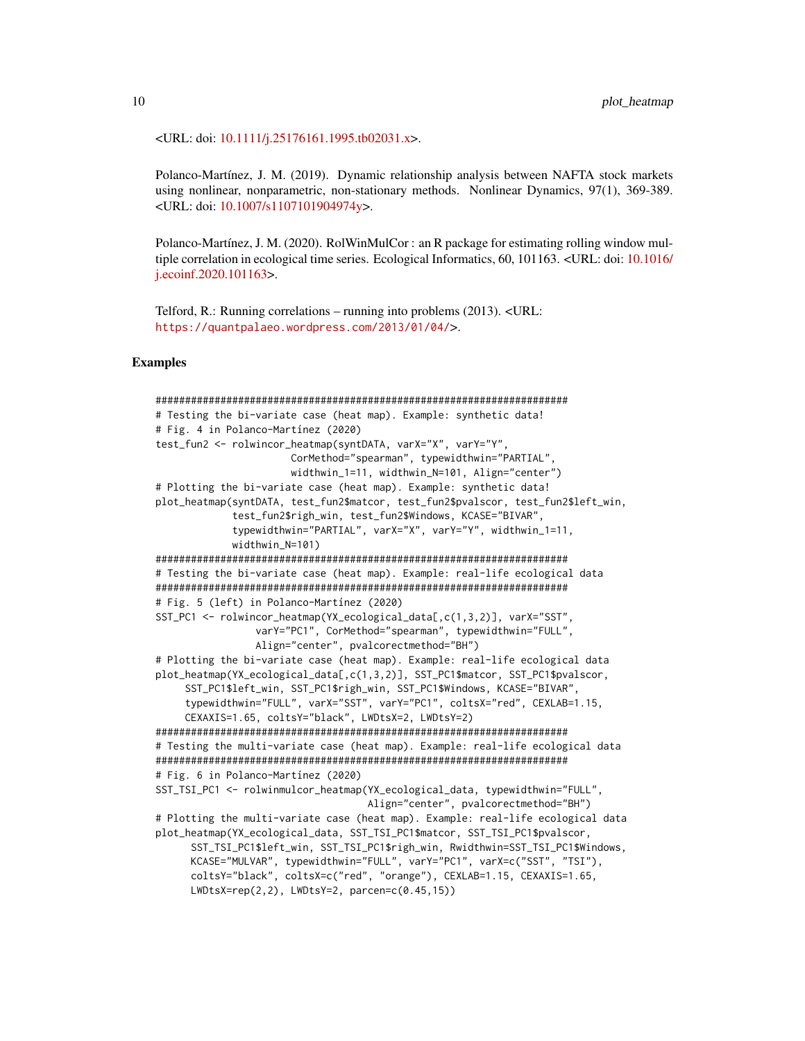<URL: doi: [10.1111/j.25176161.1995.tb02031.x>](https://doi.org/10.1111/j.2517-6161.1995.tb02031.x).

Polanco-Martínez, J. M. (2019). Dynamic relationship analysis between NAFTA stock markets using nonlinear, nonparametric, non-stationary methods. Nonlinear Dynamics, 97(1), 369-389. <URL: doi: [10.1007/s1107101904974y>](https://doi.org/10.1007/s11071-019-04974-y).

Polanco-Martínez, J. M. (2020). RolWinMulCor : an R package for estimating rolling window multiple correlation in ecological time series. Ecological Informatics, 60, 101163. <URL: doi: [10.1016/](https://doi.org/10.1016/j.ecoinf.2020.101163) [j.ecoinf.2020.101163>](https://doi.org/10.1016/j.ecoinf.2020.101163).

Telford, R.: Running correlations – running into problems (2013). <URL: <https://quantpalaeo.wordpress.com/2013/01/04/>>.

# Examples

```
######################################################################
# Testing the bi-variate case (heat map). Example: synthetic data!
# Fig. 4 in Polanco-Martínez (2020)
test_fun2 <- rolwincor_heatmap(syntDATA, varX="X", varY="Y",
                      CorMethod="spearman", typewidthwin="PARTIAL",
                       widthwin_1=11, widthwin_N=101, Align="center")
# Plotting the bi-variate case (heat map). Example: synthetic data!
plot_heatmap(syntDATA, test_fun2$matcor, test_fun2$pvalscor, test_fun2$left_win,
            test_fun2$righ_win, test_fun2$Windows, KCASE="BIVAR",
            typewidthwin="PARTIAL", varX="X", varY="Y", widthwin_1=11,
            widthwin N=101)
######################################################################
# Testing the bi-variate case (heat map). Example: real-life ecological data
######################################################################
# Fig. 5 (left) in Polanco-Martínez (2020)
SST_PC1 <- rolwincor_heatmap(YX_ecological_data[,c(1,3,2)], varX="SST",
                varY="PC1", CorMethod="spearman", typewidthwin="FULL",
                Align="center", pvalcorectmethod="BH")
# Plotting the bi-variate case (heat map). Example: real-life ecological data
plot_heatmap(YX_ecological_data[,c(1,3,2)], SST_PC1$matcor, SST_PC1$pvalscor,
     SST_PC1$left_win, SST_PC1$righ_win, SST_PC1$Windows, KCASE="BIVAR",
    typewidthwin="FULL", varX="SST", varY="PC1", coltsX="red", CEXLAB=1.15,
     CEXAXIS=1.65, coltsY="black", LWDtsX=2, LWDtsY=2)
######################################################################
# Testing the multi-variate case (heat map). Example: real-life ecological data
######################################################################
# Fig. 6 in Polanco-Martínez (2020)
SST_TSI_PC1 <- rolwinmulcor_heatmap(YX_ecological_data, typewidthwin="FULL",
                                    Align="center", pvalcorectmethod="BH")
# Plotting the multi-variate case (heat map). Example: real-life ecological data
plot_heatmap(YX_ecological_data, SST_TSI_PC1$matcor, SST_TSI_PC1$pvalscor,
     SST_TSI_PC1$left_win, SST_TSI_PC1$righ_win, Rwidthwin=SST_TSI_PC1$Windows,
     KCASE="MULVAR", typewidthwin="FULL", varY="PC1", varX=c("SST", "TSI"),
     coltsY="black", coltsX=c("red", "orange"), CEXLAB=1.15, CEXAXIS=1.65,
     LWDtsX=rep(2,2), LWDtsY=2, parcen=c(0.45,15))
```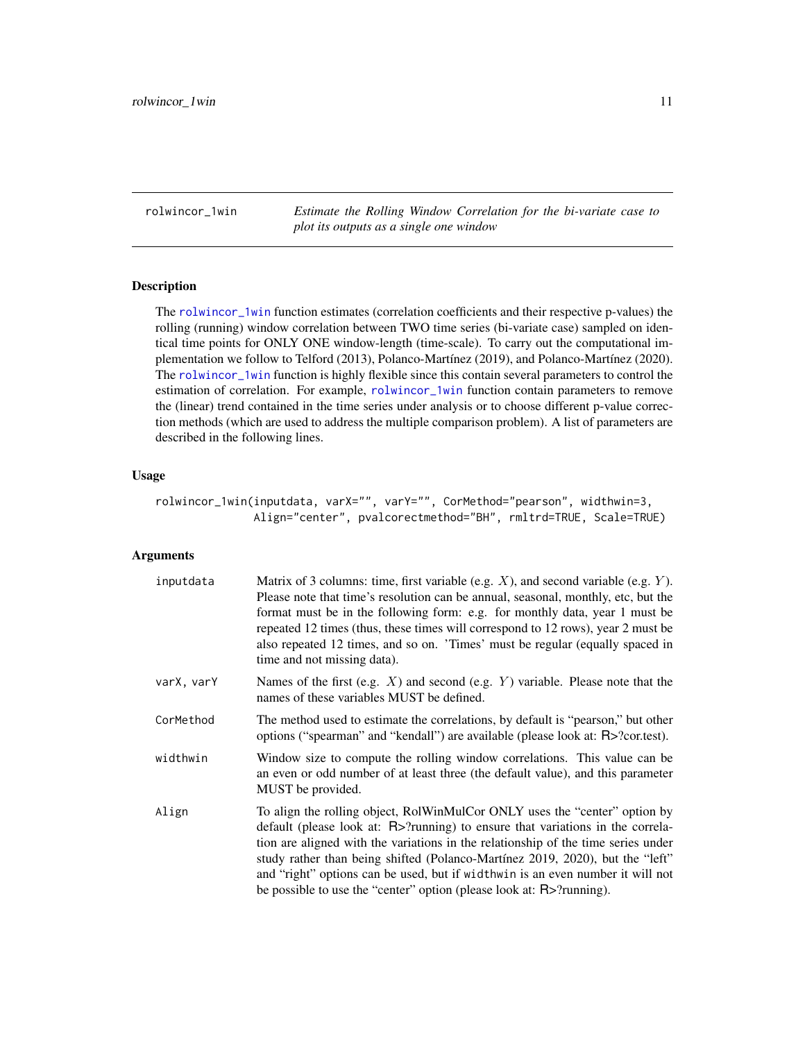<span id="page-10-1"></span><span id="page-10-0"></span>rolwincor\_1win *Estimate the Rolling Window Correlation for the bi-variate case to plot its outputs as a single one window*

# Description

The [rolwincor\\_1win](#page-10-1) function estimates (correlation coefficients and their respective p-values) the rolling (running) window correlation between TWO time series (bi-variate case) sampled on identical time points for ONLY ONE window-length (time-scale). To carry out the computational implementation we follow to Telford (2013), Polanco-Martínez (2019), and Polanco-Martínez (2020). The [rolwincor\\_1win](#page-10-1) function is highly flexible since this contain several parameters to control the estimation of correlation. For example, [rolwincor\\_1win](#page-10-1) function contain parameters to remove the (linear) trend contained in the time series under analysis or to choose different p-value correction methods (which are used to address the multiple comparison problem). A list of parameters are described in the following lines.

# Usage

```
rolwincor_1win(inputdata, varX="", varY="", CorMethod="pearson", widthwin=3,
              Align="center", pvalcorectmethod="BH", rmltrd=TRUE, Scale=TRUE)
```

| inputdata  | Matrix of 3 columns: time, first variable (e.g. $X$ ), and second variable (e.g. $Y$ ).<br>Please note that time's resolution can be annual, seasonal, monthly, etc, but the<br>format must be in the following form: e.g. for monthly data, year 1 must be<br>repeated 12 times (thus, these times will correspond to 12 rows), year 2 must be<br>also repeated 12 times, and so on. 'Times' must be regular (equally spaced in<br>time and not missing data).                                 |
|------------|-------------------------------------------------------------------------------------------------------------------------------------------------------------------------------------------------------------------------------------------------------------------------------------------------------------------------------------------------------------------------------------------------------------------------------------------------------------------------------------------------|
| varX, varY | Names of the first (e.g. $X$ ) and second (e.g. $Y$ ) variable. Please note that the<br>names of these variables MUST be defined.                                                                                                                                                                                                                                                                                                                                                               |
| CorMethod  | The method used to estimate the correlations, by default is "pearson," but other<br>options ("spearman" and "kendall") are available (please look at: R>?cor.test).                                                                                                                                                                                                                                                                                                                             |
| widthwin   | Window size to compute the rolling window correlations. This value can be<br>an even or odd number of at least three (the default value), and this parameter<br>MUST be provided.                                                                                                                                                                                                                                                                                                               |
| Align      | To align the rolling object, RolWinMulCor ONLY uses the "center" option by<br>default (please look at: $R$ >?running) to ensure that variations in the correla-<br>tion are aligned with the variations in the relationship of the time series under<br>study rather than being shifted (Polanco-Martínez 2019, 2020), but the "left"<br>and "right" options can be used, but if widthwin is an even number it will not<br>be possible to use the "center" option (please look at: R>?running). |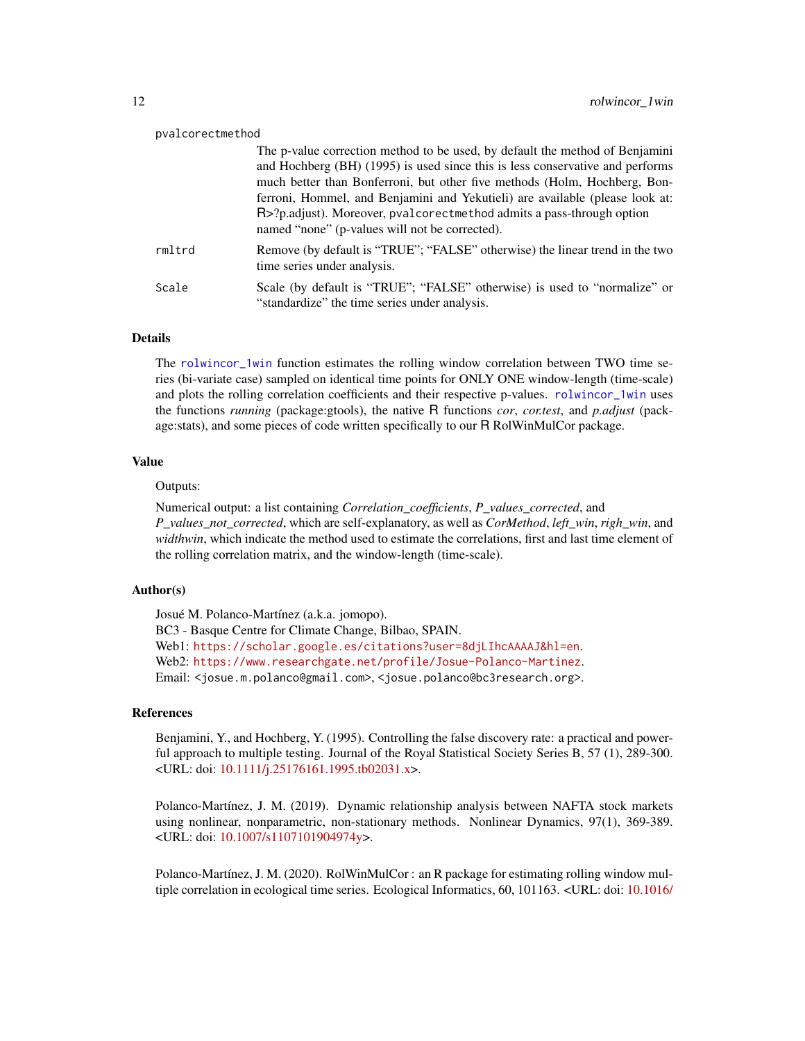<span id="page-11-0"></span>

| pvalcorectmethod |                                                                                                                                                                                                                                                                                                                                                                                                                                                       |
|------------------|-------------------------------------------------------------------------------------------------------------------------------------------------------------------------------------------------------------------------------------------------------------------------------------------------------------------------------------------------------------------------------------------------------------------------------------------------------|
|                  | The p-value correction method to be used, by default the method of Benjamini<br>and Hochberg (BH) (1995) is used since this is less conservative and performs<br>much better than Bonferroni, but other five methods (Holm, Hochberg, Bon-<br>ferroni, Hommel, and Benjamini and Yekutieli) are available (please look at:<br>R>?p.adjust). Moreover, pvalcorectmethod admits a pass-through option<br>named "none" (p-values will not be corrected). |
| rmltrd           | Remove (by default is "TRUE"; "FALSE" otherwise) the linear trend in the two<br>time series under analysis.                                                                                                                                                                                                                                                                                                                                           |
| Scale            | Scale (by default is "TRUE"; "FALSE" otherwise) is used to "normalize" or<br>"standardize" the time series under analysis.                                                                                                                                                                                                                                                                                                                            |

# Details

The [rolwincor\\_1win](#page-10-1) function estimates the rolling window correlation between TWO time series (bi-variate case) sampled on identical time points for ONLY ONE window-length (time-scale) and plots the rolling correlation coefficients and their respective p-values. [rolwincor\\_1win](#page-10-1) uses the functions *running* (package:gtools), the native R functions *cor*, *cor.test*, and *p.adjust* (package:stats), and some pieces of code written specifically to our R RolWinMulCor package.

# Value

# Outputs:

Numerical output: a list containing *Correlation\_coefficients*, *P\_values\_corrected*, and *P\_values\_not\_corrected*, which are self-explanatory, as well as *CorMethod*, *left\_win*, *righ\_win*, and *widthwin*, which indicate the method used to estimate the correlations, first and last time element of the rolling correlation matrix, and the window-length (time-scale).

# Author(s)

Josué M. Polanco-Martínez (a.k.a. jomopo). BC3 - Basque Centre for Climate Change, Bilbao, SPAIN. Web1: <https://scholar.google.es/citations?user=8djLIhcAAAAJ&hl=en>. Web2: <https://www.researchgate.net/profile/Josue-Polanco-Martinez>. Email: <josue.m.polanco@gmail.com>, <josue.polanco@bc3research.org>.

# References

Benjamini, Y., and Hochberg, Y. (1995). Controlling the false discovery rate: a practical and powerful approach to multiple testing. Journal of the Royal Statistical Society Series B, 57 (1), 289-300. <URL: doi: [10.1111/j.25176161.1995.tb02031.x>](https://doi.org/10.1111/j.2517-6161.1995.tb02031.x).

Polanco-Martínez, J. M. (2019). Dynamic relationship analysis between NAFTA stock markets using nonlinear, nonparametric, non-stationary methods. Nonlinear Dynamics, 97(1), 369-389. <URL: doi: [10.1007/s1107101904974y>](https://doi.org/10.1007/s11071-019-04974-y).

Polanco-Martínez, J. M. (2020). RolWinMulCor : an R package for estimating rolling window multiple correlation in ecological time series. Ecological Informatics, 60, 101163. <URL: doi: [10.1016/](https://doi.org/10.1016/j.ecoinf.2020.101163)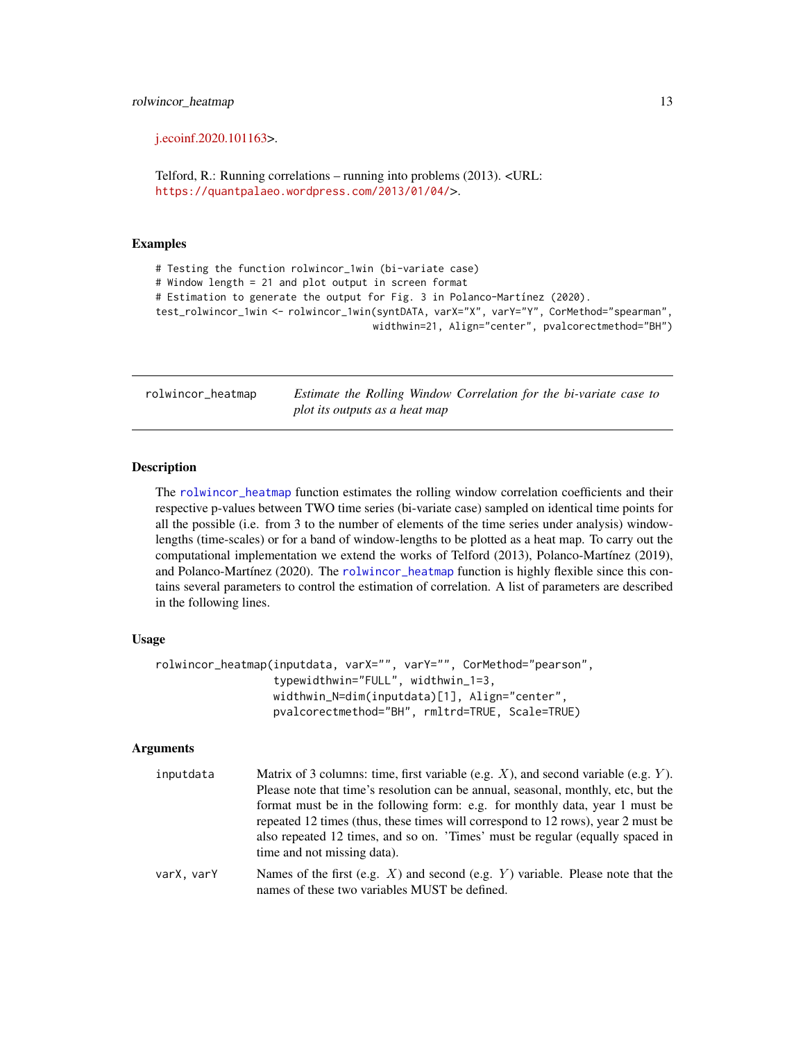<span id="page-12-0"></span>[j.ecoinf.2020.101163>](https://doi.org/10.1016/j.ecoinf.2020.101163).

Telford, R.: Running correlations – running into problems (2013). <URL: <https://quantpalaeo.wordpress.com/2013/01/04/>>.

# Examples

# Testing the function rolwincor\_1win (bi-variate case)

# Window length = 21 and plot output in screen format

# Estimation to generate the output for Fig. 3 in Polanco-Martínez (2020).

test\_rolwincor\_1win <- rolwincor\_1win(syntDATA, varX="X", varY="Y", CorMethod="spearman", widthwin=21, Align="center", pvalcorectmethod="BH")

<span id="page-12-1"></span>rolwincor\_heatmap *Estimate the Rolling Window Correlation for the bi-variate case to plot its outputs as a heat map*

# Description

The [rolwincor\\_heatmap](#page-12-1) function estimates the rolling window correlation coefficients and their respective p-values between TWO time series (bi-variate case) sampled on identical time points for all the possible (i.e. from 3 to the number of elements of the time series under analysis) windowlengths (time-scales) or for a band of window-lengths to be plotted as a heat map. To carry out the computational implementation we extend the works of Telford (2013), Polanco-Martínez (2019), and Polanco-Martínez (2020). The [rolwincor\\_heatmap](#page-12-1) function is highly flexible since this contains several parameters to control the estimation of correlation. A list of parameters are described in the following lines.

# Usage

```
rolwincor_heatmap(inputdata, varX="", varY="", CorMethod="pearson",
                  typewidthwin="FULL", widthwin_1=3,
                  widthwin_N=dim(inputdata)[1], Align="center",
                  pvalcorectmethod="BH", rmltrd=TRUE, Scale=TRUE)
```

| inputdata  | Matrix of 3 columns: time, first variable (e.g. $X$ ), and second variable (e.g. $Y$ ).<br>Please note that time's resolution can be annual, seasonal, monthly, etc. but the<br>format must be in the following form: e.g. for monthly data, year 1 must be<br>repeated 12 times (thus, these times will correspond to 12 rows), year 2 must be<br>also repeated 12 times, and so on. 'Times' must be regular (equally spaced in<br>time and not missing data). |
|------------|-----------------------------------------------------------------------------------------------------------------------------------------------------------------------------------------------------------------------------------------------------------------------------------------------------------------------------------------------------------------------------------------------------------------------------------------------------------------|
| varX, varY | Names of the first (e.g. $X$ ) and second (e.g. $Y$ ) variable. Please note that the<br>names of these two variables MUST be defined.                                                                                                                                                                                                                                                                                                                           |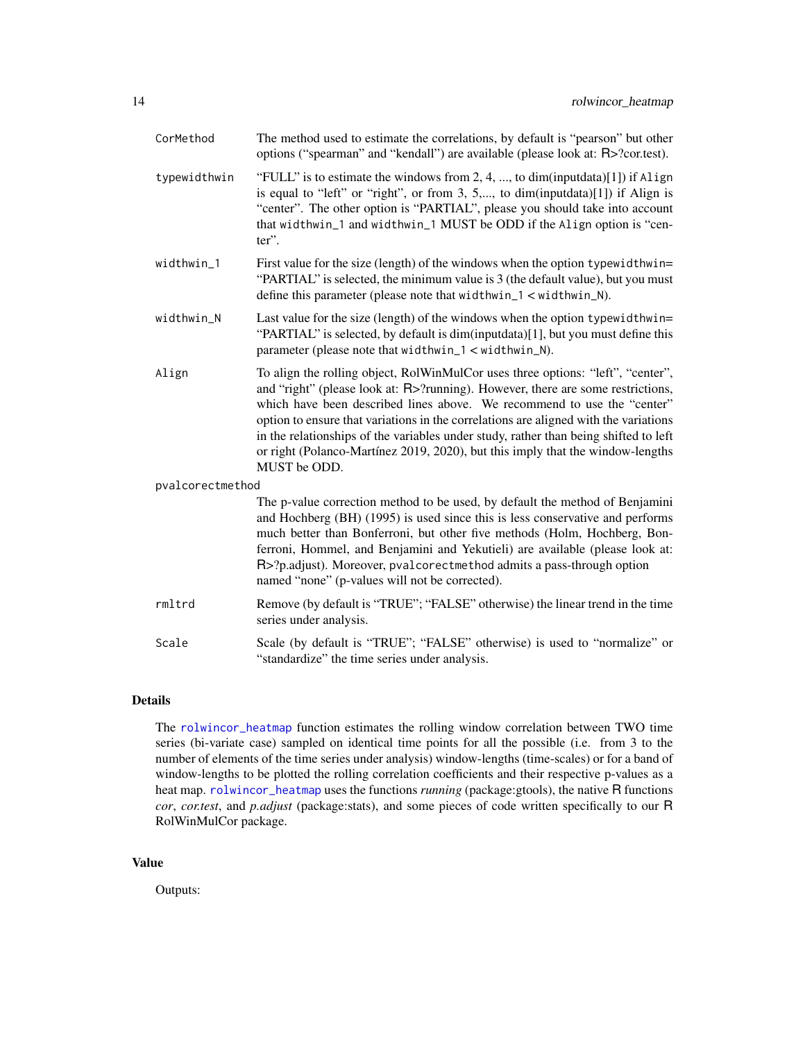<span id="page-13-0"></span>

| CorMethod        | The method used to estimate the correlations, by default is "pearson" but other<br>options ("spearman" and "kendall") are available (please look at: R>?cor.test).                                                                                                                                                                                                                                                                                                                                                              |
|------------------|---------------------------------------------------------------------------------------------------------------------------------------------------------------------------------------------------------------------------------------------------------------------------------------------------------------------------------------------------------------------------------------------------------------------------------------------------------------------------------------------------------------------------------|
| typewidthwin     | "FULL" is to estimate the windows from 2, 4, , to dim(inputdata)[1]) if Align<br>is equal to "left" or "right", or from 3, 5,, to dim(inputdata)[1]) if Align is<br>"center". The other option is "PARTIAL", please you should take into account<br>that widthwin_1 and widthwin_1 MUST be ODD if the Align option is "cen-<br>$ter$ .                                                                                                                                                                                          |
| widthwin_1       | First value for the size (length) of the windows when the option typewidthwin=<br>"PARTIAL" is selected, the minimum value is 3 (the default value), but you must<br>define this parameter (please note that widthwin_ $1$ < widthwin_N).                                                                                                                                                                                                                                                                                       |
| widthwin_N       | Last value for the size (length) of the windows when the option typewidthwin=<br>"PARTIAL" is selected, by default is dim(inputdata)[1], but you must define this<br>parameter (please note that widthwin_1 < widthwin_N).                                                                                                                                                                                                                                                                                                      |
| Align            | To align the rolling object, RolWinMulCor uses three options: "left", "center",<br>and "right" (please look at: R>?running). However, there are some restrictions,<br>which have been described lines above. We recommend to use the "center"<br>option to ensure that variations in the correlations are aligned with the variations<br>in the relationships of the variables under study, rather than being shifted to left<br>or right (Polanco-Martínez 2019, 2020), but this imply that the window-lengths<br>MUST be ODD. |
| pvalcorectmethod |                                                                                                                                                                                                                                                                                                                                                                                                                                                                                                                                 |
|                  | The p-value correction method to be used, by default the method of Benjamini<br>and Hochberg (BH) (1995) is used since this is less conservative and performs<br>much better than Bonferroni, but other five methods (Holm, Hochberg, Bon-<br>ferroni, Hommel, and Benjamini and Yekutieli) are available (please look at:<br>R>?p.adjust). Moreover, pvalcorectmethod admits a pass-through option<br>named "none" (p-values will not be corrected).                                                                           |
| rmltrd           | Remove (by default is "TRUE"; "FALSE" otherwise) the linear trend in the time<br>series under analysis.                                                                                                                                                                                                                                                                                                                                                                                                                         |
| Scale            | Scale (by default is "TRUE"; "FALSE" otherwise) is used to "normalize" or<br>"standardize" the time series under analysis.                                                                                                                                                                                                                                                                                                                                                                                                      |

# Details

The [rolwincor\\_heatmap](#page-12-1) function estimates the rolling window correlation between TWO time series (bi-variate case) sampled on identical time points for all the possible (i.e. from 3 to the number of elements of the time series under analysis) window-lengths (time-scales) or for a band of window-lengths to be plotted the rolling correlation coefficients and their respective p-values as a heat map. [rolwincor\\_heatmap](#page-12-1) uses the functions *running* (package:gtools), the native R functions *cor*, *cor.test*, and *p.adjust* (package:stats), and some pieces of code written specifically to our R RolWinMulCor package.

# Value

Outputs: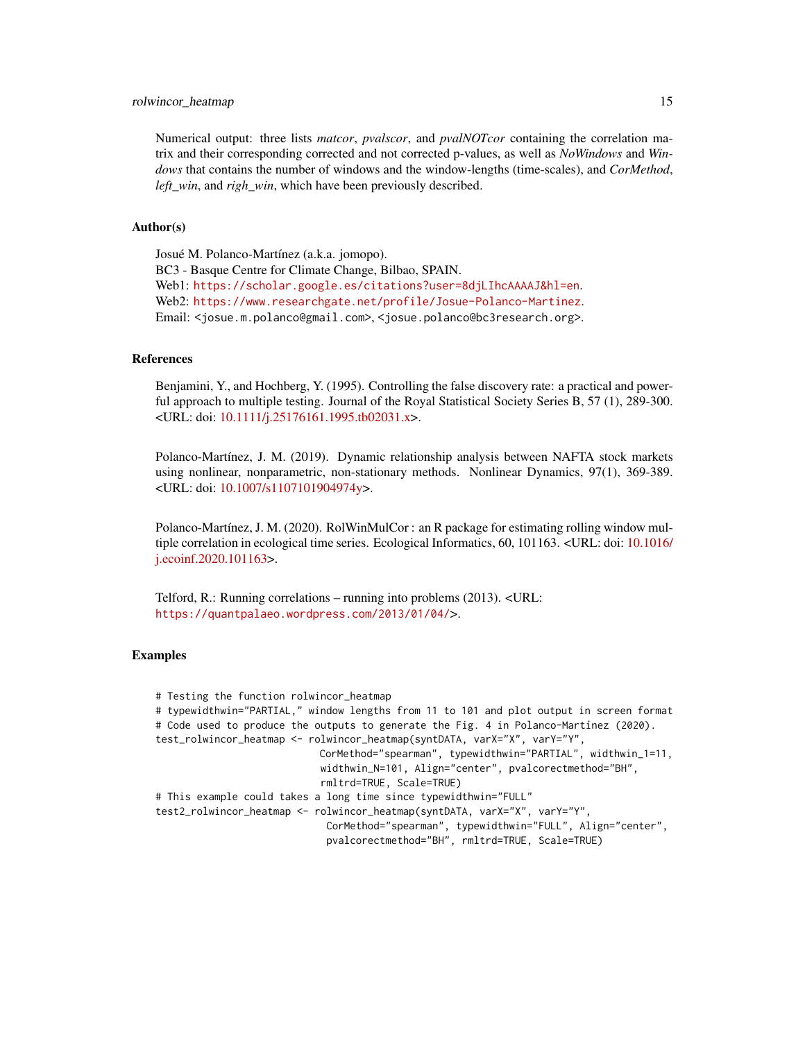# rolwincor\_heatmap 15

Numerical output: three lists *matcor*, *pvalscor*, and *pvalNOTcor* containing the correlation matrix and their corresponding corrected and not corrected p-values, as well as *NoWindows* and *Windows* that contains the number of windows and the window-lengths (time-scales), and *CorMethod*, *left\_win*, and *righ\_win*, which have been previously described.

### Author(s)

Josué M. Polanco-Martínez (a.k.a. jomopo). BC3 - Basque Centre for Climate Change, Bilbao, SPAIN. Web1: <https://scholar.google.es/citations?user=8djLIhcAAAAJ&hl=en>. Web2: <https://www.researchgate.net/profile/Josue-Polanco-Martinez>. Email: <josue.m.polanco@gmail.com>, <josue.polanco@bc3research.org>.

# References

Benjamini, Y., and Hochberg, Y. (1995). Controlling the false discovery rate: a practical and powerful approach to multiple testing. Journal of the Royal Statistical Society Series B, 57 (1), 289-300. <URL: doi: [10.1111/j.25176161.1995.tb02031.x>](https://doi.org/10.1111/j.2517-6161.1995.tb02031.x).

Polanco-Martínez, J. M. (2019). Dynamic relationship analysis between NAFTA stock markets using nonlinear, nonparametric, non-stationary methods. Nonlinear Dynamics, 97(1), 369-389. <URL: doi: [10.1007/s1107101904974y>](https://doi.org/10.1007/s11071-019-04974-y).

Polanco-Martínez, J. M. (2020). RolWinMulCor : an R package for estimating rolling window multiple correlation in ecological time series. Ecological Informatics, 60, 101163. <URL: doi: [10.1016/](https://doi.org/10.1016/j.ecoinf.2020.101163) [j.ecoinf.2020.101163>](https://doi.org/10.1016/j.ecoinf.2020.101163).

Telford, R.: Running correlations – running into problems (2013). <URL: <https://quantpalaeo.wordpress.com/2013/01/04/>>.

# Examples

# Testing the function rolwincor\_heatmap # typewidthwin="PARTIAL," window lengths from 11 to 101 and plot output in screen format # Code used to produce the outputs to generate the Fig. 4 in Polanco-Martínez (2020). test\_rolwincor\_heatmap <- rolwincor\_heatmap(syntDATA, varX="X", varY="Y", CorMethod="spearman", typewidthwin="PARTIAL", widthwin\_1=11, widthwin\_N=101, Align="center", pvalcorectmethod="BH", rmltrd=TRUE, Scale=TRUE) # This example could takes a long time since typewidthwin="FULL" test2\_rolwincor\_heatmap <- rolwincor\_heatmap(syntDATA, varX="X", varY="Y", CorMethod="spearman", typewidthwin="FULL", Align="center", pvalcorectmethod="BH", rmltrd=TRUE, Scale=TRUE)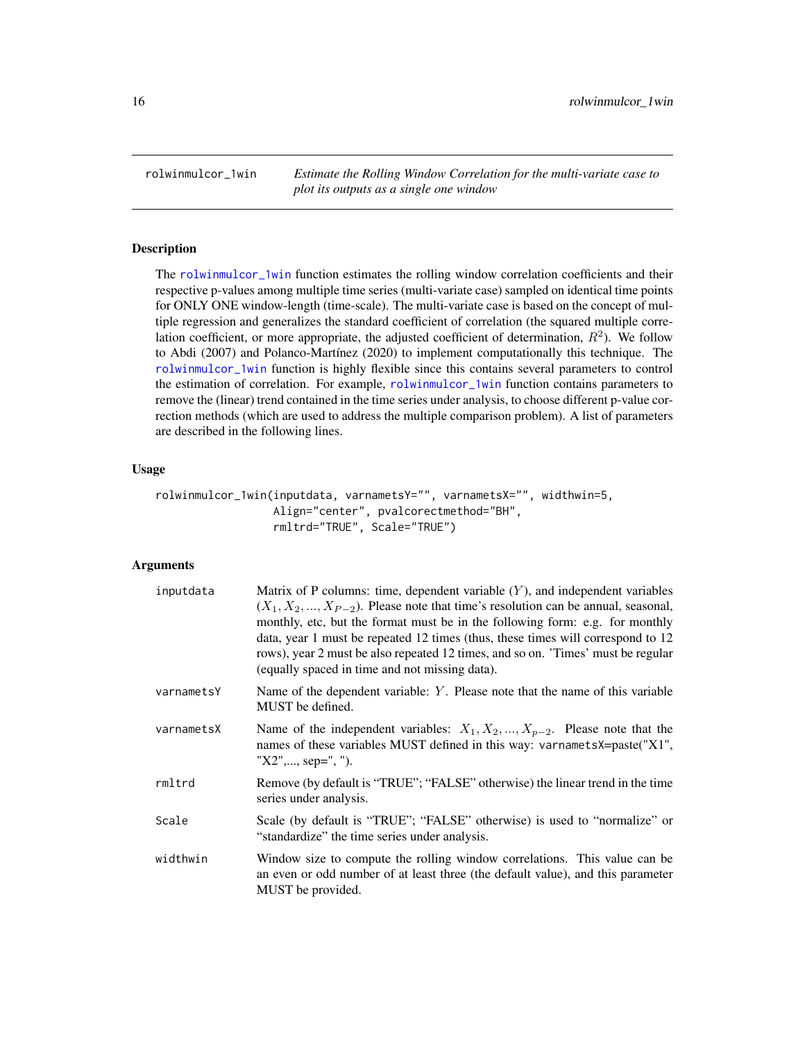<span id="page-15-1"></span><span id="page-15-0"></span>rolwinmulcor\_1win *Estimate the Rolling Window Correlation for the multi-variate case to plot its outputs as a single one window*

# Description

The [rolwinmulcor\\_1win](#page-15-1) function estimates the rolling window correlation coefficients and their respective p-values among multiple time series (multi-variate case) sampled on identical time points for ONLY ONE window-length (time-scale). The multi-variate case is based on the concept of multiple regression and generalizes the standard coefficient of correlation (the squared multiple correlation coefficient, or more appropriate, the adjusted coefficient of determination,  $R^2$ ). We follow to Abdi (2007) and Polanco-Martínez (2020) to implement computationally this technique. The [rolwinmulcor\\_1win](#page-15-1) function is highly flexible since this contains several parameters to control the estimation of correlation. For example, [rolwinmulcor\\_1win](#page-15-1) function contains parameters to remove the (linear) trend contained in the time series under analysis, to choose different p-value correction methods (which are used to address the multiple comparison problem). A list of parameters are described in the following lines.

# Usage

```
rolwinmulcor_1win(inputdata, varnametsY="", varnametsX="", widthwin=5,
                  Align="center", pvalcorectmethod="BH",
                  rmltrd="TRUE", Scale="TRUE")
```

| inputdata  | Matrix of P columns: time, dependent variable $(Y)$ , and independent variables<br>$(X_1, X_2, , X_{P-2})$ . Please note that time's resolution can be annual, seasonal,<br>monthly, etc, but the format must be in the following form: e.g. for monthly<br>data, year 1 must be repeated 12 times (thus, these times will correspond to 12<br>rows), year 2 must be also repeated 12 times, and so on. 'Times' must be regular<br>(equally spaced in time and not missing data). |
|------------|-----------------------------------------------------------------------------------------------------------------------------------------------------------------------------------------------------------------------------------------------------------------------------------------------------------------------------------------------------------------------------------------------------------------------------------------------------------------------------------|
| varnametsY | Name of the dependent variable: $Y$ . Please note that the name of this variable<br>MUST be defined.                                                                                                                                                                                                                                                                                                                                                                              |
| varnametsX | Name of the independent variables: $X_1, X_2, , X_{p-2}$ . Please note that the<br>names of these variables MUST defined in this way: varnametsX=paste("X1",<br>"X2",, sep=", ").                                                                                                                                                                                                                                                                                                 |
| rmltrd     | Remove (by default is "TRUE"; "FALSE" otherwise) the linear trend in the time<br>series under analysis.                                                                                                                                                                                                                                                                                                                                                                           |
| Scale      | Scale (by default is "TRUE"; "FALSE" otherwise) is used to "normalize" or<br>"standardize" the time series under analysis.                                                                                                                                                                                                                                                                                                                                                        |
| widthwin   | Window size to compute the rolling window correlations. This value can be<br>an even or odd number of at least three (the default value), and this parameter<br>MUST be provided.                                                                                                                                                                                                                                                                                                 |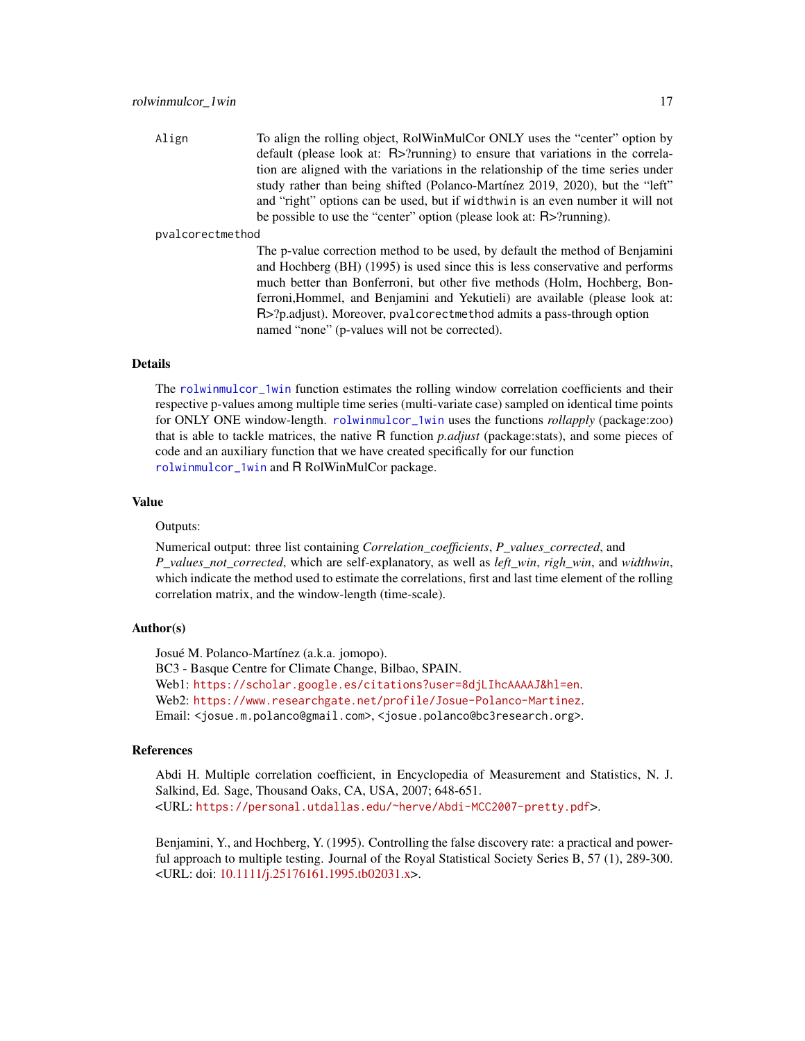<span id="page-16-0"></span>Align To align the rolling object, RolWinMulCor ONLY uses the "center" option by default (please look at: R>?running) to ensure that variations in the correlation are aligned with the variations in the relationship of the time series under study rather than being shifted (Polanco-Martínez 2019, 2020), but the "left" and "right" options can be used, but if widthwin is an even number it will not be possible to use the "center" option (please look at: R>?running).

#### pvalcorectmethod

The p-value correction method to be used, by default the method of Benjamini and Hochberg (BH) (1995) is used since this is less conservative and performs much better than Bonferroni, but other five methods (Holm, Hochberg, Bonferroni,Hommel, and Benjamini and Yekutieli) are available (please look at: R>?p.adjust). Moreover, pvalcorectmethod admits a pass-through option named "none" (p-values will not be corrected).

# Details

The [rolwinmulcor\\_1win](#page-15-1) function estimates the rolling window correlation coefficients and their respective p-values among multiple time series (multi-variate case) sampled on identical time points for ONLY ONE window-length. [rolwinmulcor\\_1win](#page-15-1) uses the functions *rollapply* (package:zoo) that is able to tackle matrices, the native R function *p.adjust* (package:stats), and some pieces of code and an auxiliary function that we have created specifically for our function [rolwinmulcor\\_1win](#page-15-1) and R RolWinMulCor package.

# Value

#### Outputs:

Numerical output: three list containing *Correlation\_coefficients*, *P\_values\_corrected*, and *P\_values\_not\_corrected*, which are self-explanatory, as well as *left\_win*, *righ\_win*, and *widthwin*, which indicate the method used to estimate the correlations, first and last time element of the rolling correlation matrix, and the window-length (time-scale).

# Author(s)

Josué M. Polanco-Martínez (a.k.a. jomopo). BC3 - Basque Centre for Climate Change, Bilbao, SPAIN. Web1: <https://scholar.google.es/citations?user=8djLIhcAAAAJ&hl=en>. Web2: <https://www.researchgate.net/profile/Josue-Polanco-Martinez>. Email: <josue.m.polanco@gmail.com>, <josue.polanco@bc3research.org>.

# References

Abdi H. Multiple correlation coefficient, in Encyclopedia of Measurement and Statistics, N. J. Salkind, Ed. Sage, Thousand Oaks, CA, USA, 2007; 648-651. <URL: <https://personal.utdallas.edu/~herve/Abdi-MCC2007-pretty.pdf>>.

Benjamini, Y., and Hochberg, Y. (1995). Controlling the false discovery rate: a practical and powerful approach to multiple testing. Journal of the Royal Statistical Society Series B, 57 (1), 289-300. <URL: doi: [10.1111/j.25176161.1995.tb02031.x>](https://doi.org/10.1111/j.2517-6161.1995.tb02031.x).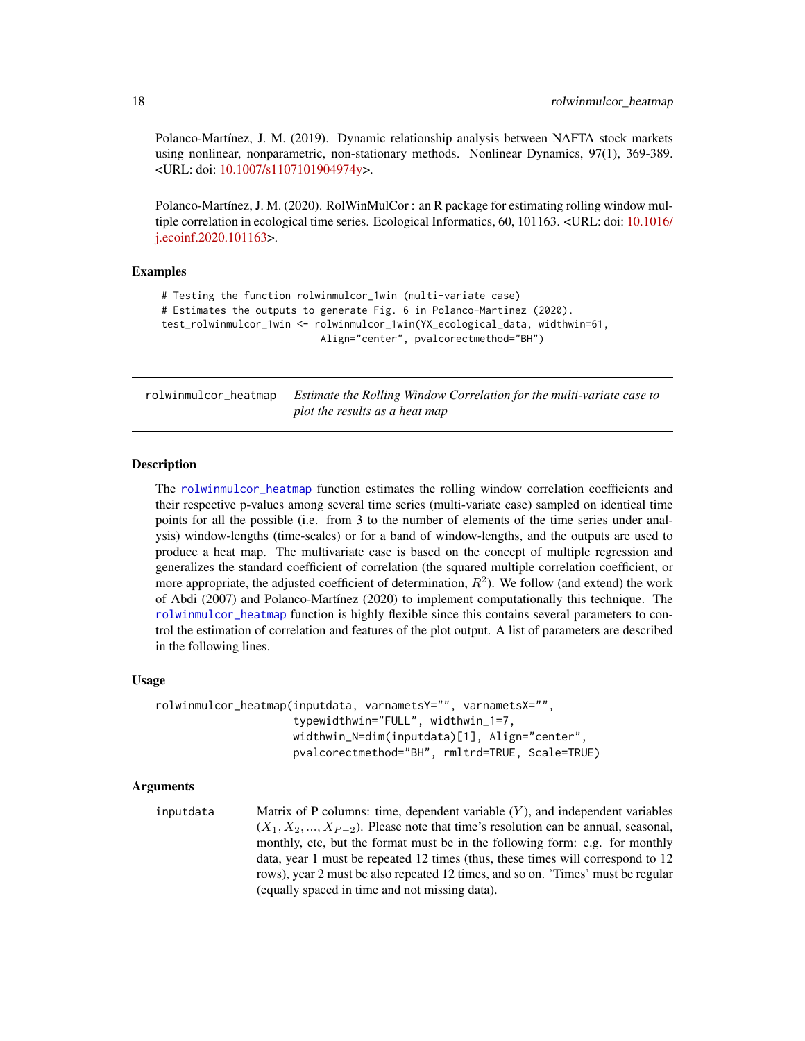Polanco-Martínez, J. M. (2019). Dynamic relationship analysis between NAFTA stock markets using nonlinear, nonparametric, non-stationary methods. Nonlinear Dynamics, 97(1), 369-389. <URL: doi: [10.1007/s1107101904974y>](https://doi.org/10.1007/s11071-019-04974-y).

Polanco-Martínez, J. M. (2020). RolWinMulCor : an R package for estimating rolling window mul-tiple correlation in ecological time series. Ecological Informatics, 60, 101163. <URL: doi: [10.1016/](https://doi.org/10.1016/j.ecoinf.2020.101163) [j.ecoinf.2020.101163>](https://doi.org/10.1016/j.ecoinf.2020.101163).

# Examples

```
# Testing the function rolwinmulcor_1win (multi-variate case)
# Estimates the outputs to generate Fig. 6 in Polanco-Martinez (2020).
test_rolwinmulcor_1win <- rolwinmulcor_1win(YX_ecological_data, widthwin=61,
                           Align="center", pvalcorectmethod="BH")
```
<span id="page-17-1"></span>rolwinmulcor\_heatmap *Estimate the Rolling Window Correlation for the multi-variate case to plot the results as a heat map*

# **Description**

The [rolwinmulcor\\_heatmap](#page-17-1) function estimates the rolling window correlation coefficients and their respective p-values among several time series (multi-variate case) sampled on identical time points for all the possible (i.e. from 3 to the number of elements of the time series under analysis) window-lengths (time-scales) or for a band of window-lengths, and the outputs are used to produce a heat map. The multivariate case is based on the concept of multiple regression and generalizes the standard coefficient of correlation (the squared multiple correlation coefficient, or more appropriate, the adjusted coefficient of determination,  $R^2$ ). We follow (and extend) the work of Abdi (2007) and Polanco-Martínez (2020) to implement computationally this technique. The [rolwinmulcor\\_heatmap](#page-17-1) function is highly flexible since this contains several parameters to control the estimation of correlation and features of the plot output. A list of parameters are described in the following lines.

# Usage

```
rolwinmulcor_heatmap(inputdata, varnametsY="", varnametsX="",
                     typewidthwin="FULL", widthwin_1=7,
                     widthwin_N=dim(inputdata)[1], Align="center",
                     pvalcorectmethod="BH", rmltrd=TRUE, Scale=TRUE)
```

```
inputdata Matrix of P columns: time, dependent variable (Y), and independent variables
                  (X_1, X_2, ..., X_{P-2}). Please note that time's resolution can be annual, seasonal,
                  monthly, etc, but the format must be in the following form: e.g. for monthly
                  data, year 1 must be repeated 12 times (thus, these times will correspond to 12
                  rows), year 2 must be also repeated 12 times, and so on. 'Times' must be regular
                  (equally spaced in time and not missing data).
```
<span id="page-17-0"></span>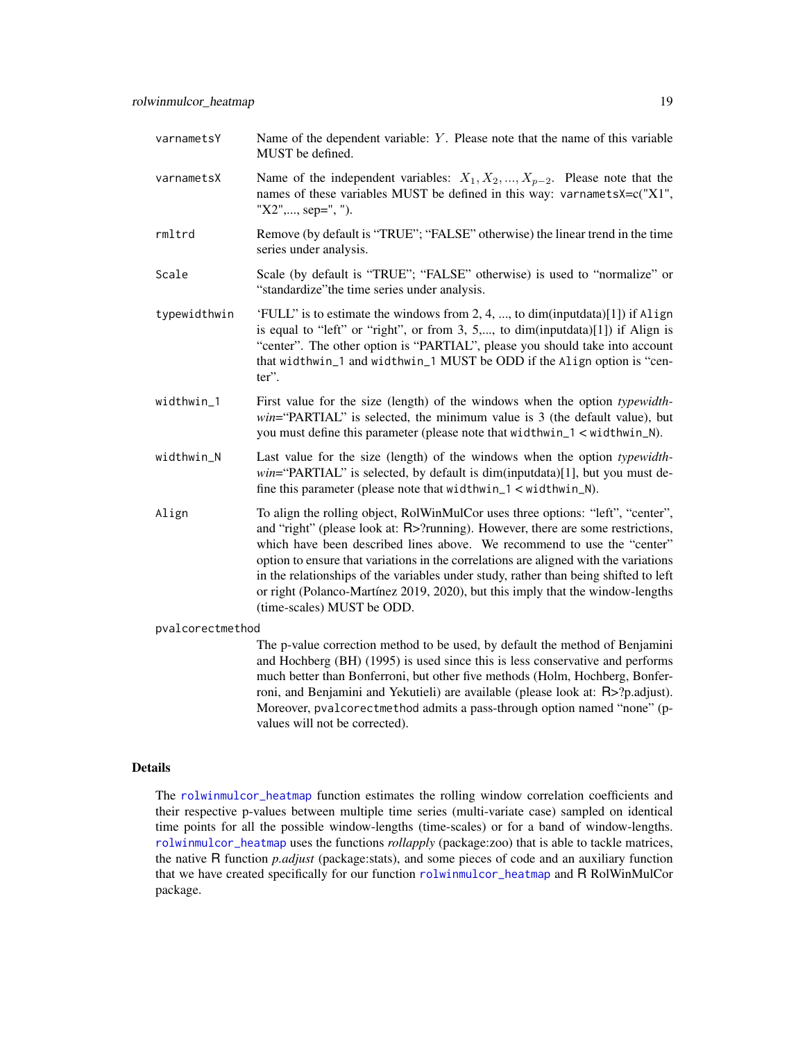- <span id="page-18-0"></span>varnamets $Y$  Name of the dependent variable:  $Y$ . Please note that the name of this variable MUST be defined.
- varnametsX Name of the independent variables:  $X_1, X_2, ..., X_{p-2}$ . Please note that the names of these variables MUST be defined in this way: varnametsX=c("X1", "X2",..., sep=", ").
- rmltrd Remove (by default is "TRUE"; "FALSE" otherwise) the linear trend in the time series under analysis.
- Scale Scale (by default is "TRUE"; "FALSE" otherwise) is used to "normalize" or "standardize"the time series under analysis.
- typewidthwin 'FULL" is to estimate the windows from 2, 4, ..., to dim(inputdata)[1]) if Align is equal to "left" or "right", or from 3, 5,..., to dim(inputdata) $[1]$ ) if Align is "center". The other option is "PARTIAL", please you should take into account that widthwin\_1 and widthwin\_1 MUST be ODD if the Align option is "center".
- widthwin\_1 First value for the size (length) of the windows when the option *typewidthwin*="PARTIAL" is selected, the minimum value is 3 (the default value), but you must define this parameter (please note that widthwin\_1 < widthwin\_N).
- widthwin\_N Last value for the size (length) of the windows when the option *typewidthwin*="PARTIAL" is selected, by default is dim(inputdata)[1], but you must define this parameter (please note that widthwin\_1 < widthwin\_N).
- Align To align the rolling object, RolWinMulCor uses three options: "left", "center", and "right" (please look at: R>?running). However, there are some restrictions, which have been described lines above. We recommend to use the "center" option to ensure that variations in the correlations are aligned with the variations in the relationships of the variables under study, rather than being shifted to left or right (Polanco-Martínez 2019, 2020), but this imply that the window-lengths (time-scales) MUST be ODD.

pvalcorectmethod

The p-value correction method to be used, by default the method of Benjamini and Hochberg (BH) (1995) is used since this is less conservative and performs much better than Bonferroni, but other five methods (Holm, Hochberg, Bonferroni, and Benjamini and Yekutieli) are available (please look at: R>?p.adjust). Moreover, pvalcorectmethod admits a pass-through option named "none" (pvalues will not be corrected).

# Details

The [rolwinmulcor\\_heatmap](#page-17-1) function estimates the rolling window correlation coefficients and their respective p-values between multiple time series (multi-variate case) sampled on identical time points for all the possible window-lengths (time-scales) or for a band of window-lengths. [rolwinmulcor\\_heatmap](#page-17-1) uses the functions *rollapply* (package:zoo) that is able to tackle matrices, the native R function *p.adjust* (package:stats), and some pieces of code and an auxiliary function that we have created specifically for our function [rolwinmulcor\\_heatmap](#page-17-1) and R RolWinMulCor package.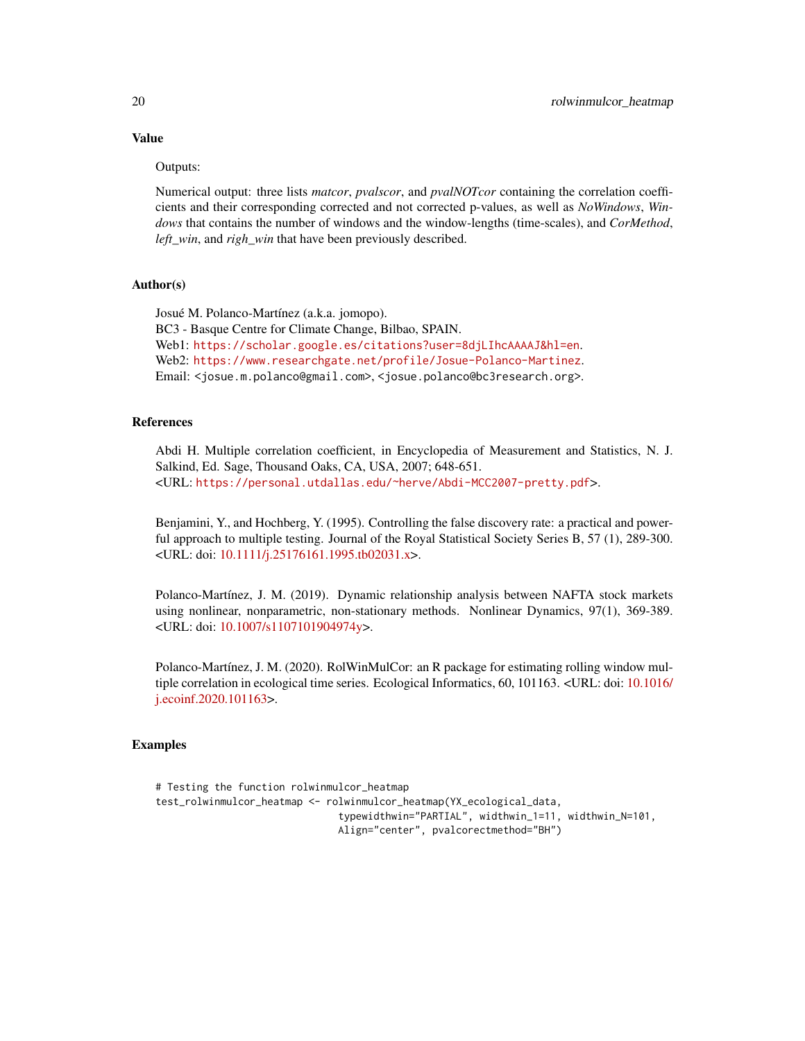# Value

# Outputs:

Numerical output: three lists *matcor*, *pvalscor*, and *pvalNOTcor* containing the correlation coefficients and their corresponding corrected and not corrected p-values, as well as *NoWindows*, *Windows* that contains the number of windows and the window-lengths (time-scales), and *CorMethod*, *left\_win*, and *righ\_win* that have been previously described.

# Author(s)

Josué M. Polanco-Martínez (a.k.a. jomopo). BC3 - Basque Centre for Climate Change, Bilbao, SPAIN. Web1: <https://scholar.google.es/citations?user=8djLIhcAAAAJ&hl=en>. Web2: <https://www.researchgate.net/profile/Josue-Polanco-Martinez>. Email: <josue.m.polanco@gmail.com>, <josue.polanco@bc3research.org>.

# References

Abdi H. Multiple correlation coefficient, in Encyclopedia of Measurement and Statistics, N. J. Salkind, Ed. Sage, Thousand Oaks, CA, USA, 2007; 648-651. <URL: <https://personal.utdallas.edu/~herve/Abdi-MCC2007-pretty.pdf>>.

Benjamini, Y., and Hochberg, Y. (1995). Controlling the false discovery rate: a practical and powerful approach to multiple testing. Journal of the Royal Statistical Society Series B, 57 (1), 289-300. <URL: doi: [10.1111/j.25176161.1995.tb02031.x>](https://doi.org/10.1111/j.2517-6161.1995.tb02031.x).

Polanco-Martínez, J. M. (2019). Dynamic relationship analysis between NAFTA stock markets using nonlinear, nonparametric, non-stationary methods. Nonlinear Dynamics, 97(1), 369-389. <URL: doi: [10.1007/s1107101904974y>](https://doi.org/10.1007/s11071-019-04974-y).

Polanco-Martínez, J. M. (2020). RolWinMulCor: an R package for estimating rolling window multiple correlation in ecological time series. Ecological Informatics, 60, 101163. <URL: doi: [10.1016/](https://doi.org/10.1016/j.ecoinf.2020.101163) [j.ecoinf.2020.101163>](https://doi.org/10.1016/j.ecoinf.2020.101163).

# Examples

```
# Testing the function rolwinmulcor_heatmap
test_rolwinmulcor_heatmap <- rolwinmulcor_heatmap(YX_ecological_data,
                               typewidthwin="PARTIAL", widthwin_1=11, widthwin_N=101,
                               Align="center", pvalcorectmethod="BH")
```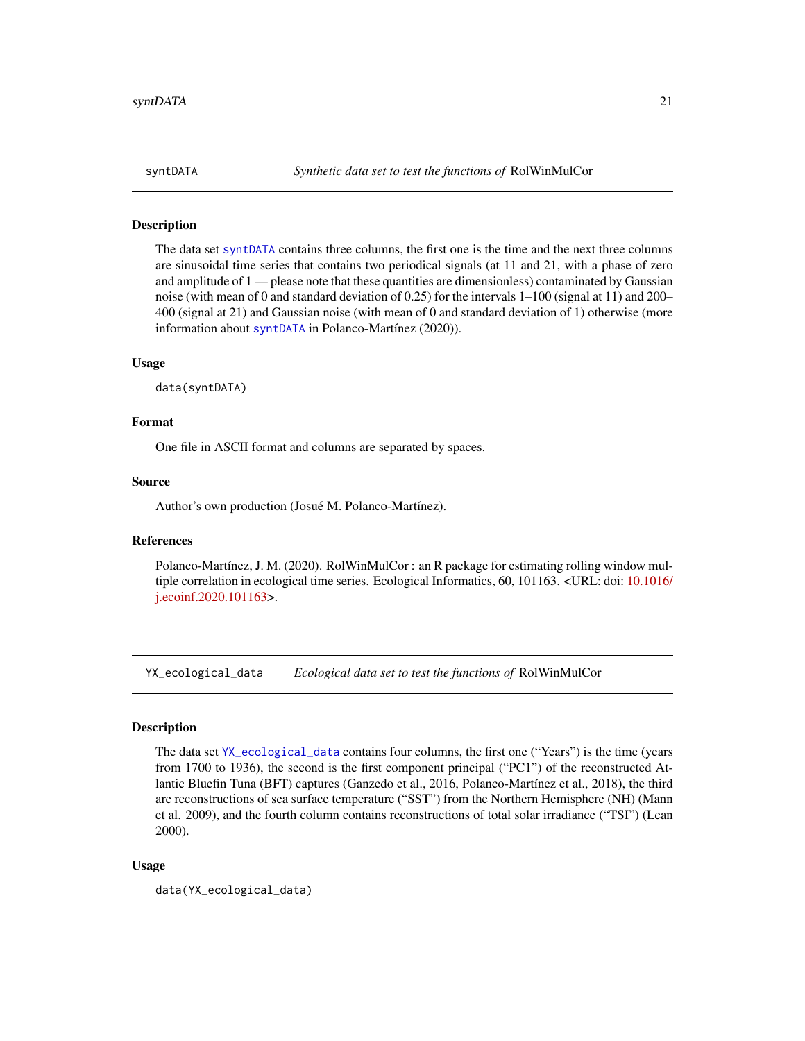<span id="page-20-1"></span><span id="page-20-0"></span>

# Description

The data set [syntDATA](#page-20-1) contains three columns, the first one is the time and the next three columns are sinusoidal time series that contains two periodical signals (at 11 and 21, with a phase of zero and amplitude of 1 — please note that these quantities are dimensionless) contaminated by Gaussian noise (with mean of 0 and standard deviation of 0.25) for the intervals 1–100 (signal at 11) and 200– 400 (signal at 21) and Gaussian noise (with mean of 0 and standard deviation of 1) otherwise (more information about [syntDATA](#page-20-1) in Polanco-Martínez (2020)).

#### Usage

data(syntDATA)

# Format

One file in ASCII format and columns are separated by spaces.

### Source

Author's own production (Josué M. Polanco-Martínez).

# References

Polanco-Martínez, J. M. (2020). RolWinMulCor : an R package for estimating rolling window multiple correlation in ecological time series. Ecological Informatics, 60, 101163. <URL: doi: [10.1016/](https://doi.org/10.1016/j.ecoinf.2020.101163) [j.ecoinf.2020.101163>](https://doi.org/10.1016/j.ecoinf.2020.101163).

<span id="page-20-2"></span>YX\_ecological\_data *Ecological data set to test the functions of* RolWinMulCor

# Description

The data set [YX\\_ecological\\_data](#page-20-2) contains four columns, the first one ("Years") is the time (years from 1700 to 1936), the second is the first component principal ("PC1") of the reconstructed Atlantic Bluefin Tuna (BFT) captures (Ganzedo et al., 2016, Polanco-Martínez et al., 2018), the third are reconstructions of sea surface temperature ("SST") from the Northern Hemisphere (NH) (Mann et al. 2009), and the fourth column contains reconstructions of total solar irradiance ("TSI") (Lean 2000).

# Usage

data(YX\_ecological\_data)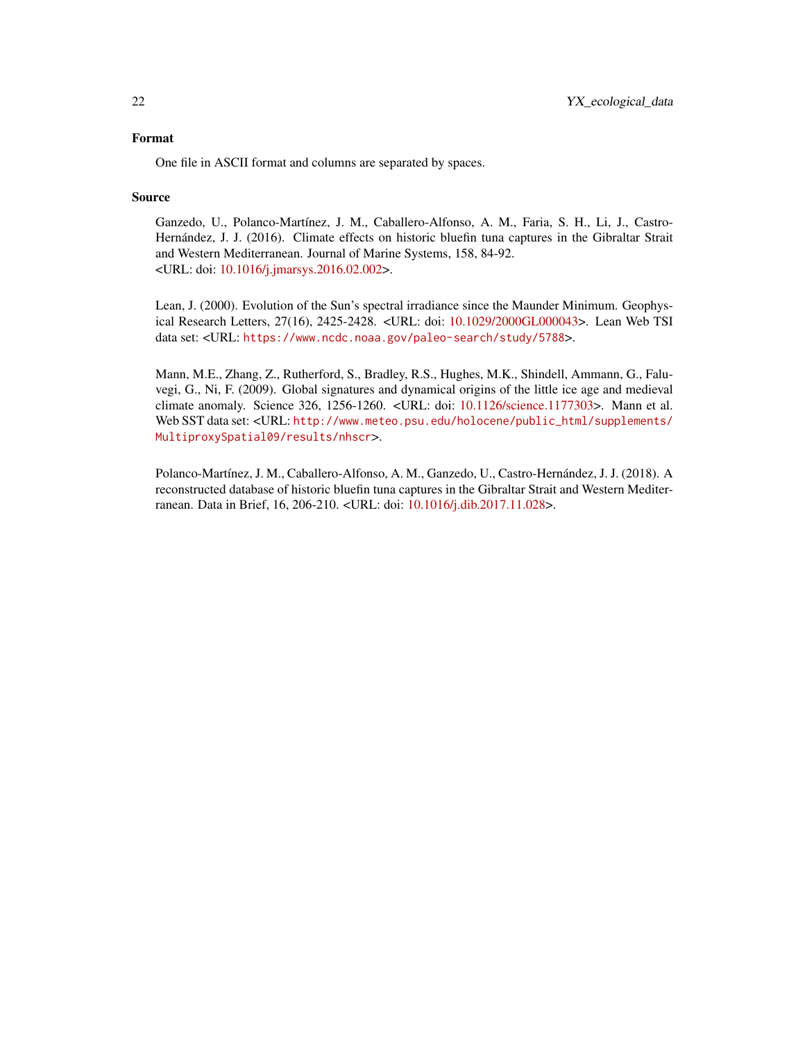# Format

One file in ASCII format and columns are separated by spaces.

# Source

Ganzedo, U., Polanco-Martínez, J. M., Caballero-Alfonso, A. M., Faria, S. H., Li, J., Castro-Hernández, J. J. (2016). Climate effects on historic bluefin tuna captures in the Gibraltar Strait and Western Mediterranean. Journal of Marine Systems, 158, 84-92. <URL: doi: [10.1016/j.jmarsys.2016.02.002>](https://doi.org/10.1016/j.jmarsys.2016.02.002).

Lean, J. (2000). Evolution of the Sun's spectral irradiance since the Maunder Minimum. Geophysical Research Letters, 27(16), 2425-2428. <URL: doi: [10.1029/2000GL000043>](https://doi.org/10.1029/2000GL000043). Lean Web TSI data set: <URL: <https://www.ncdc.noaa.gov/paleo-search/study/5788>>.

Mann, M.E., Zhang, Z., Rutherford, S., Bradley, R.S., Hughes, M.K., Shindell, Ammann, G., Faluvegi, G., Ni, F. (2009). Global signatures and dynamical origins of the little ice age and medieval climate anomaly. Science 326, 1256-1260. <URL: doi: [10.1126/science.1177303>](https://doi.org/10.1126/science.1177303). Mann et al. Web SST data set: <URL: [http://www.meteo.psu.edu/holocene/public\\_html/supplements/](http://www.meteo.psu.edu/holocene/public_html/supplements/MultiproxySpatial09/results/nhscr) [MultiproxySpatial09/results/nhscr](http://www.meteo.psu.edu/holocene/public_html/supplements/MultiproxySpatial09/results/nhscr)>.

Polanco-Martínez, J. M., Caballero-Alfonso, A. M., Ganzedo, U., Castro-Hernández, J. J. (2018). A reconstructed database of historic bluefin tuna captures in the Gibraltar Strait and Western Mediterranean. Data in Brief, 16, 206-210. <URL: doi: [10.1016/j.dib.2017.11.028>](https://doi.org/10.1016/j.dib.2017.11.028).